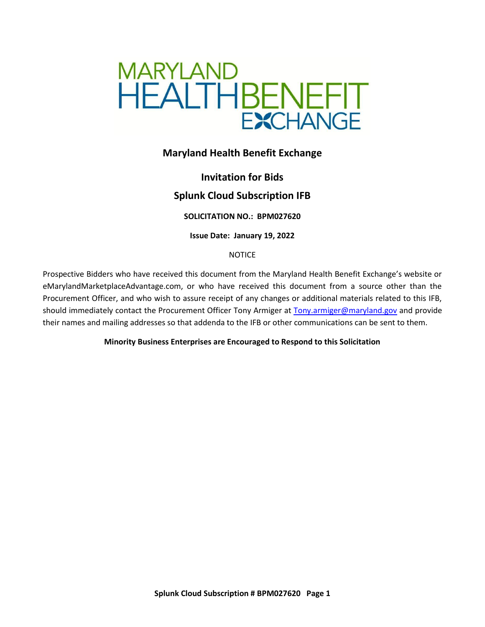

# **Maryland Health Benefit Exchange**

# **Invitation for Bids**

# **Splunk Cloud Subscription IFB**

**SOLICITATION NO.: BPM027620**

**Issue Date: January 19, 2022**

**NOTICE** 

Prospective Bidders who have received this document from the Maryland Health Benefit Exchange's website or eMarylandMarketplaceAdvantage.com, or who have received this document from a source other than the Procurement Officer, and who wish to assure receipt of any changes or additional materials related to this IFB, should immediately contact the Procurement Officer Tony Armiger at [Tony.armiger@maryland.gov](mailto:Tony.armiger@maryland.gov) and provide their names and mailing addresses so that addenda to the IFB or other communications can be sent to them.

**Minority Business Enterprises are Encouraged to Respond to this Solicitation**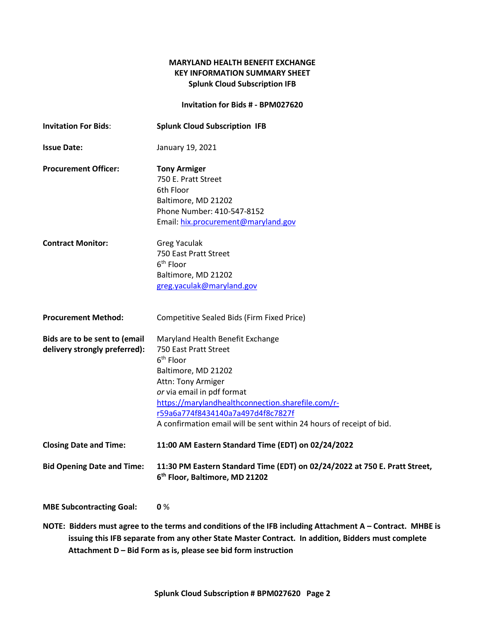## **MARYLAND HEALTH BENEFIT EXCHANGE KEY INFORMATION SUMMARY SHEET Splunk Cloud Subscription IFB**

**Invitation for Bids # - BPM027620**

| <b>Invitation For Bids:</b>                                    | <b>Splunk Cloud Subscription IFB</b>                                                                                                                                                                                                                                                                                            |
|----------------------------------------------------------------|---------------------------------------------------------------------------------------------------------------------------------------------------------------------------------------------------------------------------------------------------------------------------------------------------------------------------------|
| <b>Issue Date:</b>                                             | January 19, 2021                                                                                                                                                                                                                                                                                                                |
| <b>Procurement Officer:</b>                                    | <b>Tony Armiger</b><br>750 E. Pratt Street<br>6th Floor<br>Baltimore, MD 21202<br>Phone Number: 410-547-8152<br>Email: hix.procurement@maryland.gov                                                                                                                                                                             |
| <b>Contract Monitor:</b>                                       | <b>Greg Yaculak</b><br>750 East Pratt Street<br>6 <sup>th</sup> Floor<br>Baltimore, MD 21202<br>greg.yaculak@maryland.gov                                                                                                                                                                                                       |
| <b>Procurement Method:</b>                                     | Competitive Sealed Bids (Firm Fixed Price)                                                                                                                                                                                                                                                                                      |
| Bids are to be sent to (email<br>delivery strongly preferred): | Maryland Health Benefit Exchange<br>750 East Pratt Street<br>6 <sup>th</sup> Floor<br>Baltimore, MD 21202<br>Attn: Tony Armiger<br>or via email in pdf format<br>https://marylandhealthconnection.sharefile.com/r-<br>r59a6a774f8434140a7a497d4f8c7827f<br>A confirmation email will be sent within 24 hours of receipt of bid. |
| <b>Closing Date and Time:</b>                                  | 11:00 AM Eastern Standard Time (EDT) on 02/24/2022                                                                                                                                                                                                                                                                              |
| <b>Bid Opening Date and Time:</b>                              | 11:30 PM Eastern Standard Time (EDT) on 02/24/2022 at 750 E. Pratt Street,<br>6 <sup>th</sup> Floor, Baltimore, MD 21202                                                                                                                                                                                                        |

**MBE Subcontracting Goal: 0** %

**NOTE: Bidders must agree to the terms and conditions of the IFB including Attachment A – Contract. MHBE is issuing this IFB separate from any other State Master Contract. In addition, Bidders must complete Attachment D – Bid Form as is, please see bid form instruction**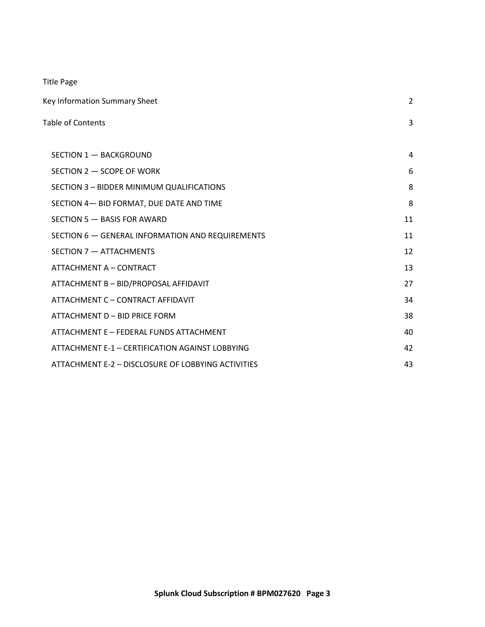Title Page

| Key Information Summary Sheet                      |    |
|----------------------------------------------------|----|
| Table of Contents                                  | 3  |
|                                                    |    |
| SECTION 1 - BACKGROUND                             | 4  |
| SECTION 2 - SCOPE OF WORK                          | 6  |
| SECTION 3 - BIDDER MINIMUM QUALIFICATIONS          | 8  |
| SECTION 4- BID FORMAT, DUE DATE AND TIME           | 8  |
| SECTION 5 - BASIS FOR AWARD                        | 11 |
| SECTION 6 - GENERAL INFORMATION AND REQUIREMENTS   | 11 |
| SECTION 7 - ATTACHMENTS                            | 12 |
| ATTACHMENT A - CONTRACT                            | 13 |
| ATTACHMENT B - BID/PROPOSAL AFFIDAVIT              | 27 |
| ATTACHMENT C - CONTRACT AFFIDAVIT                  | 34 |
| ATTACHMENT D - BID PRICE FORM                      | 38 |
| ATTACHMENT E - FEDERAL FUNDS ATTACHMENT            | 40 |
| ATTACHMENT E-1 - CERTIFICATION AGAINST LOBBYING    | 42 |
| ATTACHMENT E-2 - DISCLOSURE OF LOBBYING ACTIVITIES | 43 |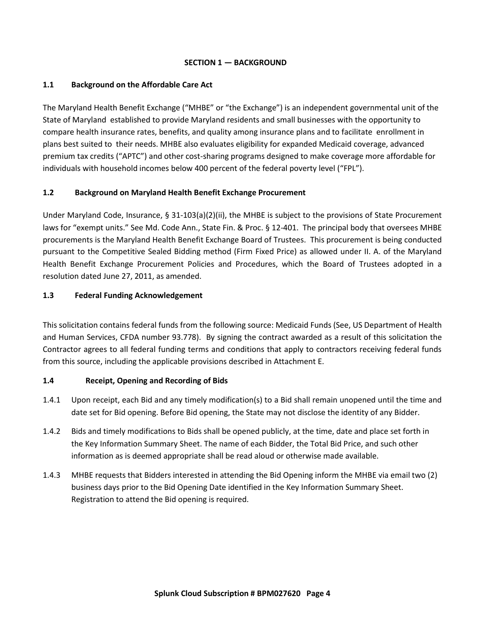#### **SECTION 1 — BACKGROUND**

## <span id="page-3-0"></span>**1.1 Background on the Affordable Care Act**

The Maryland Health Benefit Exchange ("MHBE" or "the Exchange") is an independent governmental unit of the State of Maryland established to provide Maryland residents and small businesses with the opportunity to compare health insurance rates, benefits, and quality among insurance plans and to facilitate enrollment in plans best suited to their needs. MHBE also evaluates eligibility for expanded Medicaid coverage, advanced premium tax credits ("APTC") and other cost-sharing programs designed to make coverage more affordable for individuals with household incomes below 400 percent of the federal poverty level ("FPL").

# **1.2 Background on Maryland Health Benefit Exchange Procurement**

Under Maryland Code, Insurance, § 31-103(a)(2)(ii), the MHBE is subject to the provisions of State Procurement laws for "exempt units." See Md. Code Ann., State Fin. & Proc. § 12-401. The principal body that oversees MHBE procurements is the Maryland Health Benefit Exchange Board of Trustees. This procurement is being conducted pursuant to the Competitive Sealed Bidding method (Firm Fixed Price) as allowed under II. A. of the Maryland Health Benefit Exchange Procurement Policies and Procedures, which the Board of Trustees adopted in a resolution dated June 27, 2011, as amended.

## **1.3 Federal Funding Acknowledgement**

This solicitation contains federal funds from the following source: Medicaid Funds (See, US Department of Health and Human Services, CFDA number 93.778). By signing the contract awarded as a result of this solicitation the Contractor agrees to all federal funding terms and conditions that apply to contractors receiving federal funds from this source, including the applicable provisions described in Attachment E.

# **1.4 Receipt, Opening and Recording of Bids**

- 1.4.1 Upon receipt, each Bid and any timely modification(s) to a Bid shall remain unopened until the time and date set for Bid opening. Before Bid opening, the State may not disclose the identity of any Bidder.
- 1.4.2 Bids and timely modifications to Bids shall be opened publicly, at the time, date and place set forth in the Key Information Summary Sheet. The name of each Bidder, the Total Bid Price, and such other information as is deemed appropriate shall be read aloud or otherwise made available.
- 1.4.3 MHBE requests that Bidders interested in attending the Bid Opening inform the MHBE via email two (2) business days prior to the Bid Opening Date identified in the Key Information Summary Sheet. Registration to attend the Bid opening is required.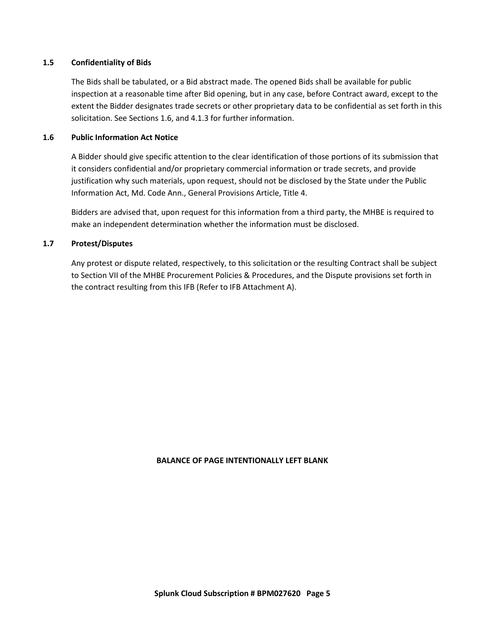#### **1.5 Confidentiality of Bids**

The Bids shall be tabulated, or a Bid abstract made. The opened Bids shall be available for public inspection at a reasonable time after Bid opening, but in any case, before Contract award, except to the extent the Bidder designates trade secrets or other proprietary data to be confidential as set forth in this solicitation. See Sections 1.6, and 4.1.3 for further information.

#### **1.6 Public Information Act Notice**

A Bidder should give specific attention to the clear identification of those portions of its submission that it considers confidential and/or proprietary commercial information or trade secrets, and provide justification why such materials, upon request, should not be disclosed by the State under the Public Information Act, Md. Code Ann., General Provisions Article, Title 4.

Bidders are advised that, upon request for this information from a third party, the MHBE is required to make an independent determination whether the information must be disclosed.

#### **1.7 Protest/Disputes**

Any protest or dispute related, respectively, to this solicitation or the resulting Contract shall be subject to Section VII of the MHBE Procurement Policies & Procedures, and the Dispute provisions set forth in the contract resulting from this IFB (Refer to IFB Attachment A).

#### **BALANCE OF PAGE INTENTIONALLY LEFT BLANK**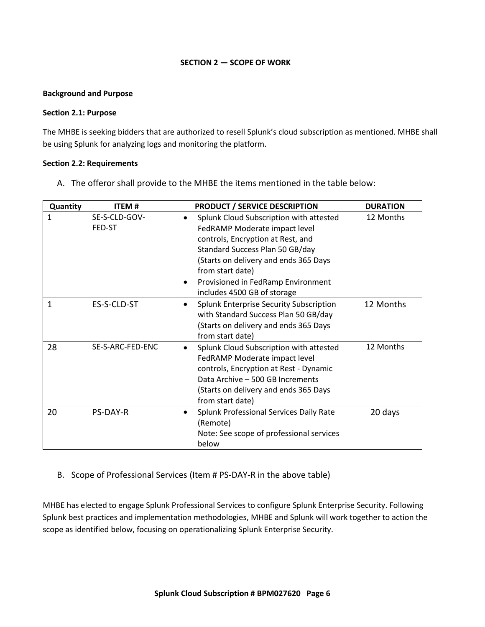#### **SECTION 2 — SCOPE OF WORK**

#### <span id="page-5-0"></span>**Background and Purpose**

#### **Section 2.1: Purpose**

The MHBE is seeking bidders that are authorized to resell Splunk's cloud subscription as mentioned. MHBE shall be using Splunk for analyzing logs and monitoring the platform.

#### **Section 2.2: Requirements**

A. The offeror shall provide to the MHBE the items mentioned in the table below:

| Quantity | <b>ITEM#</b>            | <b>PRODUCT / SERVICE DESCRIPTION</b>                                                                                                                                                                                                                                               | <b>DURATION</b> |
|----------|-------------------------|------------------------------------------------------------------------------------------------------------------------------------------------------------------------------------------------------------------------------------------------------------------------------------|-----------------|
| 1        | SE-S-CLD-GOV-<br>FED-ST | Splunk Cloud Subscription with attested<br>FedRAMP Moderate impact level<br>controls, Encryption at Rest, and<br>Standard Success Plan 50 GB/day<br>(Starts on delivery and ends 365 Days<br>from start date)<br>Provisioned in FedRamp Environment<br>includes 4500 GB of storage | 12 Months       |
| 1        | ES-S-CLD-ST             | Splunk Enterprise Security Subscription<br>$\bullet$<br>with Standard Success Plan 50 GB/day<br>(Starts on delivery and ends 365 Days<br>from start date)                                                                                                                          | 12 Months       |
| 28       | SE-S-ARC-FED-ENC        | Splunk Cloud Subscription with attested<br>FedRAMP Moderate impact level<br>controls, Encryption at Rest - Dynamic<br>Data Archive - 500 GB Increments<br>(Starts on delivery and ends 365 Days<br>from start date)                                                                | 12 Months       |
| 20       | <b>PS-DAY-R</b>         | Splunk Professional Services Daily Rate<br>(Remote)<br>Note: See scope of professional services<br>below                                                                                                                                                                           | 20 days         |

# B. Scope of Professional Services (Item # PS-DAY-R in the above table)

MHBE has elected to engage Splunk Professional Services to configure Splunk Enterprise Security. Following Splunk best practices and implementation methodologies, MHBE and Splunk will work together to action the scope as identified below, focusing on operationalizing Splunk Enterprise Security.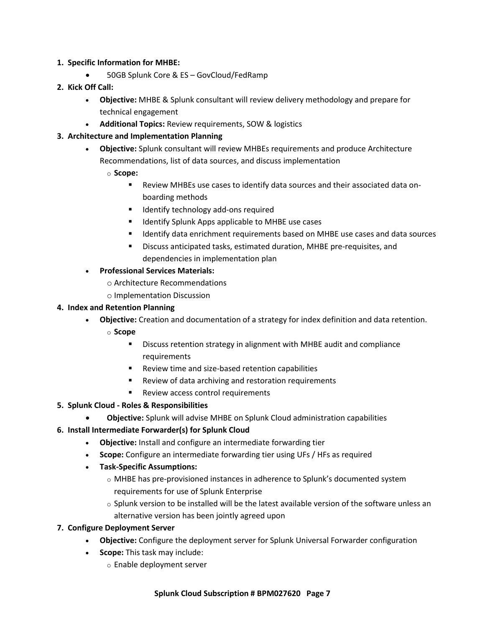#### **1. Specific Information for MHBE:**

• 50GB Splunk Core & ES – GovCloud/FedRamp

# **2. Kick Off Call:**

- **Objective:** MHBE & Splunk consultant will review delivery methodology and prepare for technical engagement
- **Additional Topics:** Review requirements, SOW & logistics

# **3. Architecture and Implementation Planning**

- **Objective:** Splunk consultant will review MHBEs requirements and produce Architecture Recommendations, list of data sources, and discuss implementation
	- o **Scope:**
		- Review MHBEs use cases to identify data sources and their associated data onboarding methods
		- Identify technology add-ons required
		- Identify Splunk Apps applicable to MHBE use cases
		- Identify data enrichment requirements based on MHBE use cases and data sources
		- Discuss anticipated tasks, estimated duration, MHBE pre-requisites, and dependencies in implementation plan
- **Professional Services Materials:**
	- o Architecture Recommendations
	- o Implementation Discussion

# **4. Index and Retention Planning**

- **Objective:** Creation and documentation of a strategy for index definition and data retention.
	- o **Scope**
		- Discuss retention strategy in alignment with MHBE audit and compliance requirements
		- Review time and size-based retention capabilities
		- Review of data archiving and restoration requirements
		- Review access control requirements

# **5. Splunk Cloud - Roles & Responsibilities**

• **Objective:** Splunk will advise MHBE on Splunk Cloud administration capabilities

# **6. Install Intermediate Forwarder(s) for Splunk Cloud**

- **Objective:** Install and configure an intermediate forwarding tier
- **Scope:** Configure an intermediate forwarding tier using UFs / HFs as required
- **Task-Specific Assumptions:**
	- o MHBE has pre-provisioned instances in adherence to Splunk's documented system requirements for use of Splunk Enterprise
	- $\circ$  Splunk version to be installed will be the latest available version of the software unless an alternative version has been jointly agreed upon

# **7. Configure Deployment Server**

- **Objective:** Configure the deployment server for Splunk Universal Forwarder configuration
- **Scope:** This task may include:
	- o Enable deployment server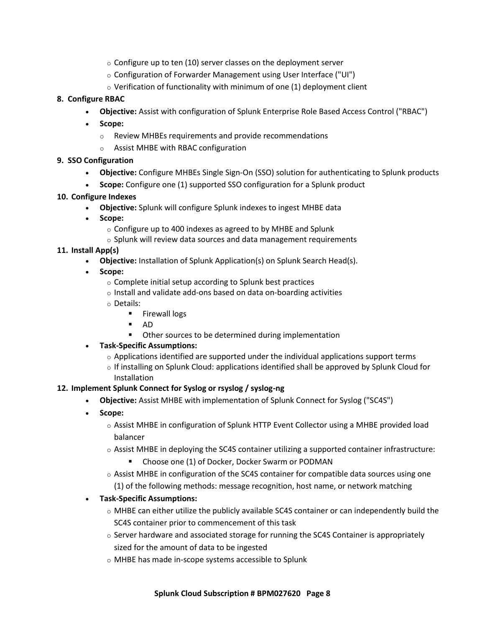- $\circ$  Configure up to ten (10) server classes on the deployment server
- o Configuration of Forwarder Management using User Interface ("UI")
- $\circ$  Verification of functionality with minimum of one (1) deployment client

## **8. Configure RBAC**

- **Objective:** Assist with configuration of Splunk Enterprise Role Based Access Control ("RBAC")
- **Scope:**
	- o Review MHBEs requirements and provide recommendations
	- o Assist MHBE with RBAC configuration

## **9. SSO Configuration**

- **Objective:** Configure MHBEs Single Sign-On (SSO) solution for authenticating to Splunk products
- **Scope:** Configure one (1) supported SSO configuration for a Splunk product

## **10. Configure Indexes**

- **Objective:** Splunk will configure Splunk indexes to ingest MHBE data
- **Scope:**
	- o Configure up to 400 indexes as agreed to by MHBE and Splunk
	- o Splunk will review data sources and data management requirements

## **11. Install App(s)**

- **Objective:** Installation of Splunk Application(s) on Splunk Search Head(s).
- **Scope:**
	- o Complete initial setup according to Splunk best practices
	- o Install and validate add-ons based on data on-boarding activities
	- o Details:
		- Firewall logs
		- AD
		- Other sources to be determined during implementation

# • **Task-Specific Assumptions:**

- $\circ$  Applications identified are supported under the individual applications support terms
- $\circ$  If installing on Splunk Cloud: applications identified shall be approved by Splunk Cloud for Installation

#### **12. Implement Splunk Connect for Syslog or rsyslog / syslog-ng**

- **Objective:** Assist MHBE with implementation of Splunk Connect for Syslog ("SC4S")
- **Scope:**
	- o Assist MHBE in configuration of Splunk HTTP Event Collector using a MHBE provided load balancer
	- $\circ$  Assist MHBE in deploying the SC4S container utilizing a supported container infrastructure:
		- Choose one (1) of Docker, Docker Swarm or PODMAN
	- $\circ$  Assist MHBE in configuration of the SC4S container for compatible data sources using one (1) of the following methods: message recognition, host name, or network matching

# • **Task-Specific Assumptions:**

- $\circ$  MHBE can either utilize the publicly available SC4S container or can independently build the SC4S container prior to commencement of this task
- $\circ$  Server hardware and associated storage for running the SC4S Container is appropriately sized for the amount of data to be ingested
- o MHBE has made in-scope systems accessible to Splunk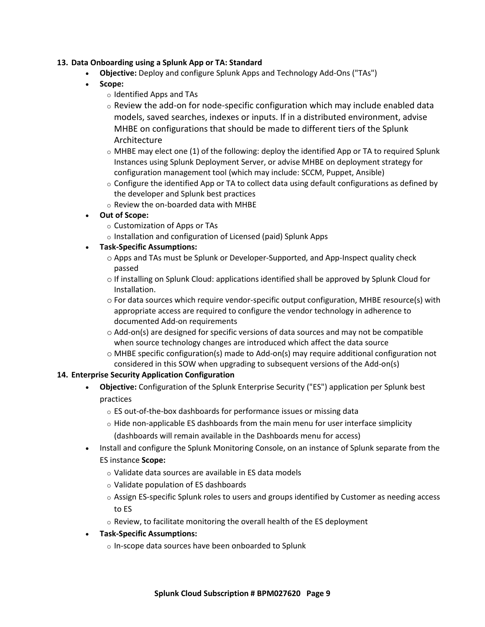#### **13. Data Onboarding using a Splunk App or TA: Standard**

- **Objective:** Deploy and configure Splunk Apps and Technology Add-Ons ("TAs")
- **Scope:**
	- o Identified Apps and TAs
	- $\circ$  Review the add-on for node-specific configuration which may include enabled data models, saved searches, indexes or inputs. If in a distributed environment, advise MHBE on configurations that should be made to different tiers of the Splunk Architecture
	- $\circ$  MHBE may elect one (1) of the following: deploy the identified App or TA to required Splunk Instances using Splunk Deployment Server, or advise MHBE on deployment strategy for configuration management tool (which may include: SCCM, Puppet, Ansible)
	- $\circ$  Configure the identified App or TA to collect data using default configurations as defined by the developer and Splunk best practices
	- o Review the on-boarded data with MHBE
- **Out of Scope:**
	- o Customization of Apps or TAs
	- o Installation and configuration of Licensed (paid) Splunk Apps
- **Task-Specific Assumptions:**
	- o Apps and TAs must be Splunk or Developer-Supported, and App-Inspect quality check passed
	- o If installing on Splunk Cloud: applications identified shall be approved by Splunk Cloud for Installation.
	- o For data sources which require vendor-specific output configuration, MHBE resource(s) with appropriate access are required to configure the vendor technology in adherence to documented Add-on requirements
	- $\circ$  Add-on(s) are designed for specific versions of data sources and may not be compatible when source technology changes are introduced which affect the data source
	- $\circ$  MHBE specific configuration(s) made to Add-on(s) may require additional configuration not considered in this SOW when upgrading to subsequent versions of the Add-on(s)

# **14. Enterprise Security Application Configuration**

- **Objective:** Configuration of the Splunk Enterprise Security ("ES") application per Splunk best practices
	- o ES out-of-the-box dashboards for performance issues or missing data
	- $\circ$  Hide non-applicable ES dashboards from the main menu for user interface simplicity (dashboards will remain available in the Dashboards menu for access)
- Install and configure the Splunk Monitoring Console, on an instance of Splunk separate from the ES instance **Scope:**
	- o Validate data sources are available in ES data models
	- o Validate population of ES dashboards
	- $\circ$  Assign ES-specific Splunk roles to users and groups identified by Customer as needing access to ES
	- o Review, to facilitate monitoring the overall health of the ES deployment
- **Task-Specific Assumptions:**
	- o In-scope data sources have been onboarded to Splunk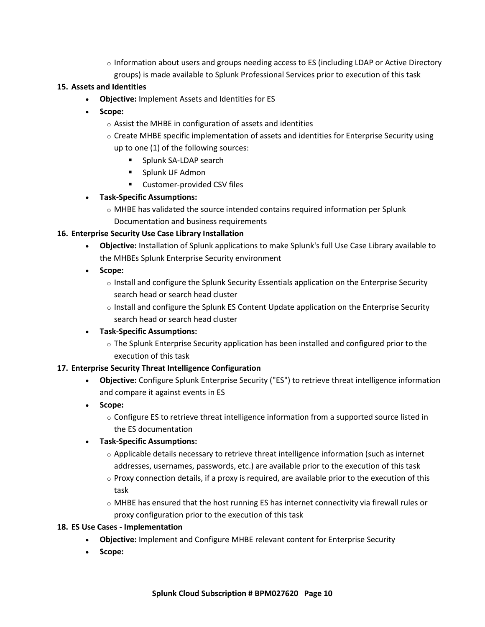$\circ$  Information about users and groups needing access to ES (including LDAP or Active Directory groups) is made available to Splunk Professional Services prior to execution of this task

## **15. Assets and Identities**

- **Objective:** Implement Assets and Identities for ES
- **Scope:**
	- o Assist the MHBE in configuration of assets and identities
	- $\circ$  Create MHBE specific implementation of assets and identities for Enterprise Security using up to one (1) of the following sources:
		- Splunk SA-LDAP search
		- Splunk UF Admon
		- Customer-provided CSV files

## • **Task-Specific Assumptions:**

o MHBE has validated the source intended contains required information per Splunk

Documentation and business requirements

## **16. Enterprise Security Use Case Library Installation**

- **Objective:** Installation of Splunk applications to make Splunk's full Use Case Library available to the MHBEs Splunk Enterprise Security environment
- **Scope:**
	- o Install and configure the Splunk Security Essentials application on the Enterprise Security search head or search head cluster
	- $\circ$  Install and configure the Splunk ES Content Update application on the Enterprise Security search head or search head cluster

#### • **Task-Specific Assumptions:**

o The Splunk Enterprise Security application has been installed and configured prior to the execution of this task

#### **17. Enterprise Security Threat Intelligence Configuration**

- **Objective:** Configure Splunk Enterprise Security ("ES") to retrieve threat intelligence information and compare it against events in ES
- **Scope:**
	- o Configure ES to retrieve threat intelligence information from a supported source listed in the ES documentation

# • **Task-Specific Assumptions:**

- $\circ$  Applicable details necessary to retrieve threat intelligence information (such as internet addresses, usernames, passwords, etc.) are available prior to the execution of this task
- $\circ$  Proxy connection details, if a proxy is required, are available prior to the execution of this task
- o MHBE has ensured that the host running ES has internet connectivity via firewall rules or proxy configuration prior to the execution of this task

# **18. ES Use Cases - Implementation**

- **Objective:** Implement and Configure MHBE relevant content for Enterprise Security
- **Scope:**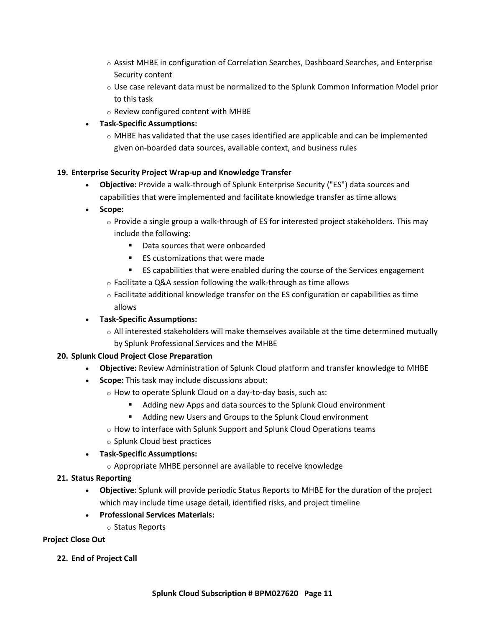- o Assist MHBE in configuration of Correlation Searches, Dashboard Searches, and Enterprise Security content
- o Use case relevant data must be normalized to the Splunk Common Information Model prior to this task
- o Review configured content with MHBE
- **Task-Specific Assumptions:**
	- $\circ$  MHBE has validated that the use cases identified are applicable and can be implemented given on-boarded data sources, available context, and business rules

# **19. Enterprise Security Project Wrap-up and Knowledge Transfer**

- **Objective:** Provide a walk-through of Splunk Enterprise Security ("ES") data sources and capabilities that were implemented and facilitate knowledge transfer as time allows
- **Scope:**
	- $\circ$  Provide a single group a walk-through of ES for interested project stakeholders. This may include the following:
		- Data sources that were onboarded
		- ES customizations that were made
		- ES capabilities that were enabled during the course of the Services engagement
	- o Facilitate a Q&A session following the walk-through as time allows
	- $\circ$  Facilitate additional knowledge transfer on the ES configuration or capabilities as time allows
- **Task-Specific Assumptions:**
	- $\circ$  All interested stakeholders will make themselves available at the time determined mutually by Splunk Professional Services and the MHBE

# **20. Splunk Cloud Project Close Preparation**

- **Objective:** Review Administration of Splunk Cloud platform and transfer knowledge to MHBE
- **Scope:** This task may include discussions about:
	- o How to operate Splunk Cloud on a day-to-day basis, such as:
		- Adding new Apps and data sources to the Splunk Cloud environment
		- Adding new Users and Groups to the Splunk Cloud environment
	- o How to interface with Splunk Support and Splunk Cloud Operations teams
	- o Splunk Cloud best practices
- **Task-Specific Assumptions:**
	- o Appropriate MHBE personnel are available to receive knowledge

# **21. Status Reporting**

- **Objective:** Splunk will provide periodic Status Reports to MHBE for the duration of the project which may include time usage detail, identified risks, and project timeline
- **Professional Services Materials:**
	- o Status Reports

# **Project Close Out**

**22. End of Project Call**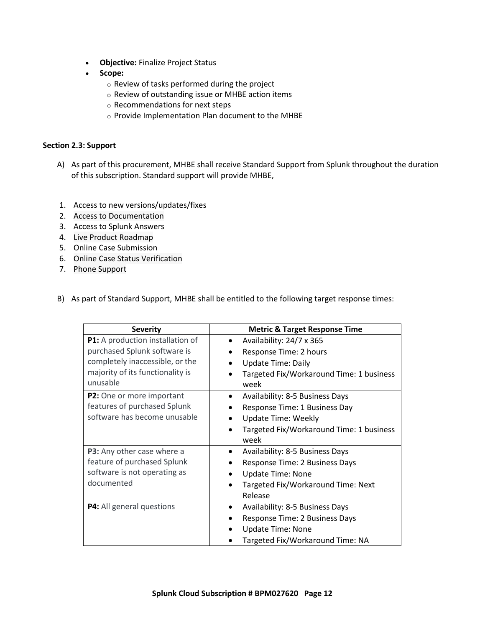- **Objective:** Finalize Project Status
- **Scope:**
	- o Review of tasks performed during the project
	- o Review of outstanding issue or MHBE action items
	- o Recommendations for next steps
	- o Provide Implementation Plan document to the MHBE

#### **Section 2.3: Support**

- A) As part of this procurement, MHBE shall receive Standard Support from Splunk throughout the duration of this subscription. Standard support will provide MHBE,
- 1. Access to new versions/updates/fixes
- 2. Access to Documentation
- 3. Access to Splunk Answers
- 4. Live Product Roadmap
- 5. Online Case Submission
- 6. Online Case Status Verification
- 7. Phone Support
- B) As part of Standard Support, MHBE shall be entitled to the following target response times:

| <b>Severity</b>                  | <b>Metric &amp; Target Response Time</b> |
|----------------------------------|------------------------------------------|
| P1: A production installation of | Availability: 24/7 x 365                 |
| purchased Splunk software is     | Response Time: 2 hours                   |
| completely inaccessible, or the  | <b>Update Time: Daily</b>                |
| majority of its functionality is | Targeted Fix/Workaround Time: 1 business |
| unusable                         | week                                     |
| P2: One or more important        | <b>Availability: 8-5 Business Days</b>   |
| features of purchased Splunk     | Response Time: 1 Business Day            |
| software has become unusable     | <b>Update Time: Weekly</b>               |
|                                  | Targeted Fix/Workaround Time: 1 business |
|                                  | week                                     |
| P3: Any other case where a       | Availability: 8-5 Business Days          |
| feature of purchased Splunk      | Response Time: 2 Business Days           |
| software is not operating as     | <b>Update Time: None</b>                 |
| documented                       | Targeted Fix/Workaround Time: Next       |
|                                  | Release                                  |
| P4: All general questions        | Availability: 8-5 Business Days          |
|                                  | Response Time: 2 Business Days           |
|                                  | <b>Update Time: None</b>                 |
|                                  | Targeted Fix/Workaround Time: NA         |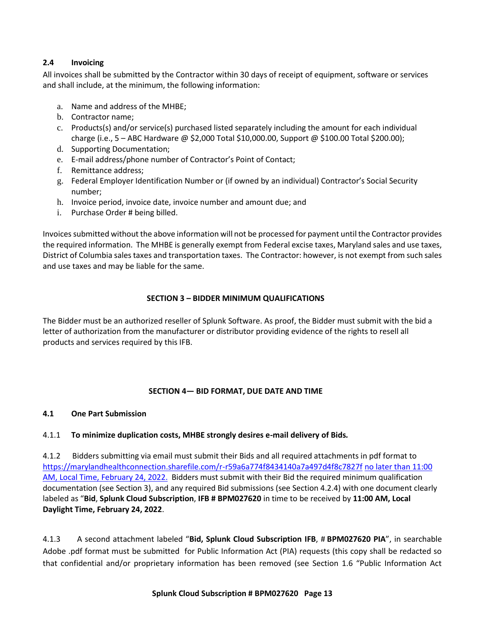# **2.4 Invoicing**

All invoices shall be submitted by the Contractor within 30 days of receipt of equipment, software or services and shall include, at the minimum, the following information:

- a. Name and address of the MHBE;
- b. Contractor name;
- c. Products(s) and/or service(s) purchased listed separately including the amount for each individual charge (i.e., 5 – ABC Hardware @ \$2,000 Total \$10,000.00, Support @ \$100.00 Total \$200.00);
- d. Supporting Documentation;
- e. E-mail address/phone number of Contractor's Point of Contact;
- f. Remittance address;
- g. Federal Employer Identification Number or (if owned by an individual) Contractor's Social Security number;
- h. Invoice period, invoice date, invoice number and amount due; and
- i. Purchase Order # being billed.

Invoices submitted without the above information will not be processed for payment until the Contractor provides the required information. The MHBE is generally exempt from Federal excise taxes, Maryland sales and use taxes, District of Columbia sales taxes and transportation taxes. The Contractor: however, is not exempt from such sales and use taxes and may be liable for the same.

# **SECTION 3 – BIDDER MINIMUM QUALIFICATIONS**

<span id="page-12-0"></span>The Bidder must be an authorized reseller of Splunk Software. As proof, the Bidder must submit with the bid a letter of authorization from the manufacturer or distributor providing evidence of the rights to resell all products and services required by this IFB.

# **SECTION 4— BID FORMAT, DUE DATE AND TIME**

# <span id="page-12-1"></span>**4.1 One Part Submission**

# 4.1.1 **To minimize duplication costs, MHBE strongly desires e-mail delivery of Bids***.*

4.1.2 Bidders submitting via email must submit their Bids and all required attachments in pdf format to <https://marylandhealthconnection.sharefile.com/r-r59a6a774f8434140a7a497d4f8c7827f> no later than 11:00 AM, Local Time, February 24, 2022. [Bidders m](mailto:hix.procurement@maryland.gov.Bidders)ust submit with their Bid the required minimum qualification documentation (see Section 3), and any required Bid submissions (see Section 4.2.4) with one document clearly labeled as "**Bid**, **Splunk Cloud Subscription**, **IFB # BPM027620** in time to be received by **11:00 AM, Local Daylight Time, February 24, 2022**.

4.1.3 A second attachment labeled "**Bid, Splunk Cloud Subscription IFB**, # **BPM027620 PIA**", in searchable Adobe .pdf format must be submitted for Public Information Act (PIA) requests (this copy shall be redacted so that confidential and/or proprietary information has been removed (see Section 1.6 "Public Information Act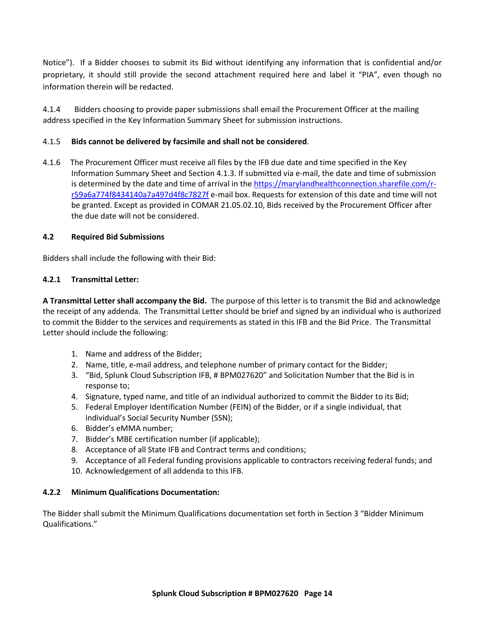Notice"). If a Bidder chooses to submit its Bid without identifying any information that is confidential and/or proprietary, it should still provide the second attachment required here and label it "PIA", even though no information therein will be redacted.

4.1.4 Bidders choosing to provide paper submissions shall email the Procurement Officer at the mailing address specified in the Key Information Summary Sheet for submission instructions.

## 4.1.5 **Bids cannot be delivered by facsimile and shall not be considered**.

4.1.6 The Procurement Officer must receive all files by the IFB due date and time specified in the Key Information Summary Sheet and Section 4.1.3. If submitted via e-mail, the date and time of submission is determined by the date and time of arrival in th[e https://marylandhealthconnection.sharefile.com/r](https://marylandhealthconnection.sharefile.com/r-r59a6a774f8434140a7a497d4f8c7827f)[r59a6a774f8434140a7a497d4f8c7827f](https://marylandhealthconnection.sharefile.com/r-r59a6a774f8434140a7a497d4f8c7827f) e-mail box. Requests for extension of this date and time will not be granted. Except as provided in COMAR 21.05.02.10, Bids received by the Procurement Officer after the due date will not be considered.

#### **4.2 Required Bid Submissions**

Bidders shall include the following with their Bid:

## **4.2.1 Transmittal Letter:**

**A Transmittal Letter shall accompany the Bid.** The purpose of this letter is to transmit the Bid and acknowledge the receipt of any addenda. The Transmittal Letter should be brief and signed by an individual who is authorized to commit the Bidder to the services and requirements as stated in this IFB and the Bid Price. The Transmittal Letter should include the following:

- 1. Name and address of the Bidder;
- 2. Name, title, e-mail address, and telephone number of primary contact for the Bidder;
- 3. "Bid, Splunk Cloud Subscription IFB, # BPM027620" and Solicitation Number that the Bid is in response to;
- 4. Signature, typed name, and title of an individual authorized to commit the Bidder to its Bid;
- 5. Federal Employer Identification Number (FEIN) of the Bidder, or if a single individual, that individual's Social Security Number (SSN);
- 6. Bidder's eMMA number;
- 7. Bidder's MBE certification number (if applicable);
- 8. Acceptance of all State IFB and Contract terms and conditions;
- 9. Acceptance of all Federal funding provisions applicable to contractors receiving federal funds; and
- 10. Acknowledgement of all addenda to this IFB.

#### **4.2.2 Minimum Qualifications Documentation:**

The Bidder shall submit the Minimum Qualifications documentation set forth in Section 3 "Bidder Minimum Qualifications."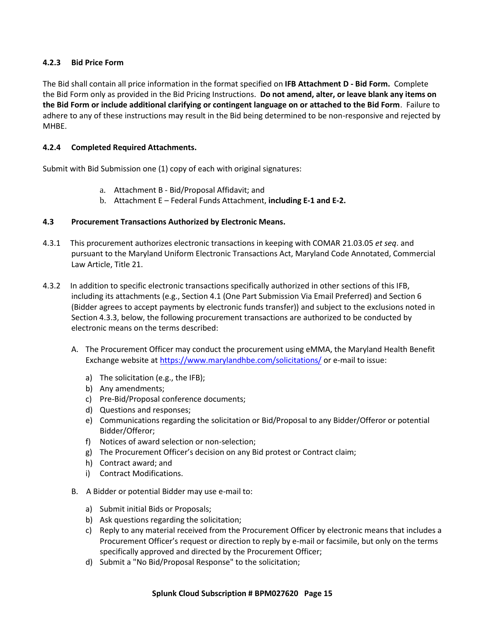## **4.2.3 Bid Price Form**

The Bid shall contain all price information in the format specified on **IFB Attachment D - Bid Form.** Complete the Bid Form only as provided in the Bid Pricing Instructions. **Do not amend, alter, or leave blank any items on the Bid Form or include additional clarifying or contingent language on or attached to the Bid Form**. Failure to adhere to any of these instructions may result in the Bid being determined to be non-responsive and rejected by MHBE.

## **4.2.4 Completed Required Attachments.**

Submit with Bid Submission one (1) copy of each with original signatures:

- a. Attachment B Bid/Proposal Affidavit; and
- b. Attachment E Federal Funds Attachment, **including E-1 and E-2.**

#### **4.3 Procurement Transactions Authorized by Electronic Means.**

- 4.3.1 This procurement authorizes electronic transactions in keeping with COMAR 21.03.05 *et seq*. and pursuant to the Maryland Uniform Electronic Transactions Act, Maryland Code Annotated, Commercial Law Article, Title 21.
- 4.3.2 In addition to specific electronic transactions specifically authorized in other sections of this IFB, including its attachments (e.g., Section 4.1 (One Part Submission Via Email Preferred) and Section 6 (Bidder agrees to accept payments by electronic funds transfer)) and subject to the exclusions noted in Section 4.3.3, below, the following procurement transactions are authorized to be conducted by electronic means on the terms described:
	- A. The Procurement Officer may conduct the procurement using eMMA, the Maryland Health Benefit Exchange website at<https://www.marylandhbe.com/solicitations/> or e-mail to issue:
		- a) The solicitation (e.g., the IFB);
		- b) Any amendments;
		- c) Pre-Bid/Proposal conference documents;
		- d) Questions and responses;
		- e) Communications regarding the solicitation or Bid/Proposal to any Bidder/Offeror or potential Bidder/Offeror;
		- f) Notices of award selection or non-selection;
		- g) The Procurement Officer's decision on any Bid protest or Contract claim;
		- h) Contract award; and
		- i) Contract Modifications.
	- B. A Bidder or potential Bidder may use e-mail to:
		- a) Submit initial Bids or Proposals;
		- b) Ask questions regarding the solicitation;
		- c) Reply to any material received from the Procurement Officer by electronic means that includes a Procurement Officer's request or direction to reply by e-mail or facsimile, but only on the terms specifically approved and directed by the Procurement Officer;
		- d) Submit a "No Bid/Proposal Response" to the solicitation;

#### **Splunk Cloud Subscription # BPM027620 Page 15**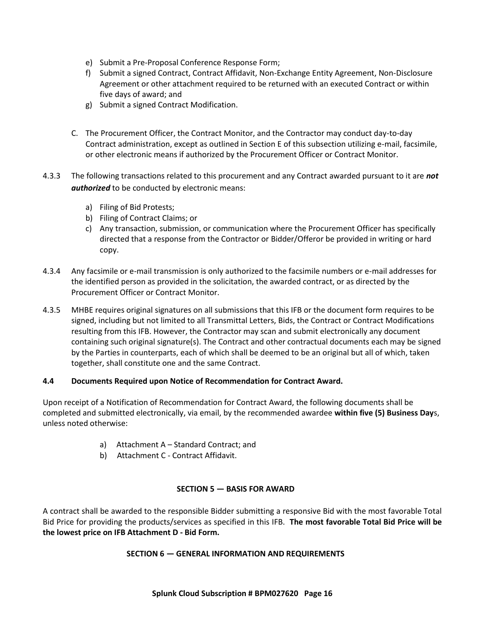- e) Submit a Pre-Proposal Conference Response Form;
- f) Submit a signed Contract, Contract Affidavit, Non-Exchange Entity Agreement, Non-Disclosure Agreement or other attachment required to be returned with an executed Contract or within five days of award; and
- g) Submit a signed Contract Modification.
- C. The Procurement Officer, the Contract Monitor, and the Contractor may conduct day-to-day Contract administration, except as outlined in Section E of this subsection utilizing e-mail, facsimile, or other electronic means if authorized by the Procurement Officer or Contract Monitor.
- 4.3.3 The following transactions related to this procurement and any Contract awarded pursuant to it are *not authorized* to be conducted by electronic means:
	- a) Filing of Bid Protests;
	- b) Filing of Contract Claims; or
	- c) Any transaction, submission, or communication where the Procurement Officer has specifically directed that a response from the Contractor or Bidder/Offeror be provided in writing or hard copy.
- 4.3.4 Any facsimile or e-mail transmission is only authorized to the facsimile numbers or e-mail addresses for the identified person as provided in the solicitation, the awarded contract, or as directed by the Procurement Officer or Contract Monitor.
- 4.3.5 MHBE requires original signatures on all submissions that this IFB or the document form requires to be signed, including but not limited to all Transmittal Letters, Bids, the Contract or Contract Modifications resulting from this IFB. However, the Contractor may scan and submit electronically any document containing such original signature(s). The Contract and other contractual documents each may be signed by the Parties in counterparts, each of which shall be deemed to be an original but all of which, taken together, shall constitute one and the same Contract.

#### **4.4 Documents Required upon Notice of Recommendation for Contract Award.**

Upon receipt of a Notification of Recommendation for Contract Award, the following documents shall be completed and submitted electronically, via email, by the recommended awardee **within five (5) Business Day**s, unless noted otherwise:

- a) Attachment A Standard Contract; and
- b) Attachment C Contract Affidavit.

#### **SECTION 5 — BASIS FOR AWARD**

<span id="page-15-1"></span><span id="page-15-0"></span>A contract shall be awarded to the responsible Bidder submitting a responsive Bid with the most favorable Total Bid Price for providing the products/services as specified in this IFB. **The most favorable Total Bid Price will be the lowest price on IFB Attachment D - Bid Form.**

#### **SECTION 6 — GENERAL INFORMATION AND REQUIREMENTS**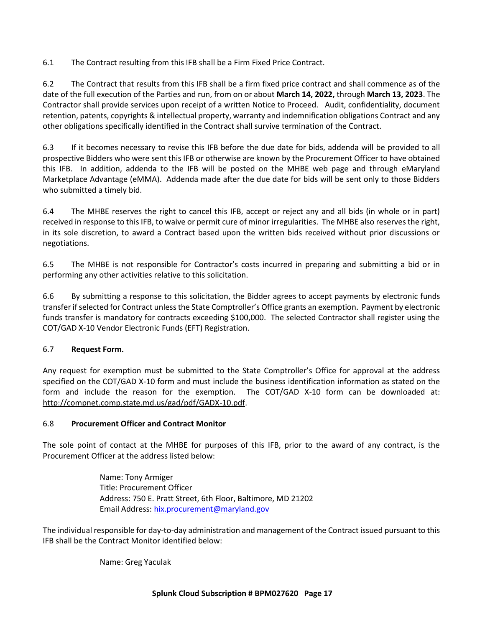6.1 The Contract resulting from this IFB shall be a Firm Fixed Price Contract.

6.2 The Contract that results from this IFB shall be a firm fixed price contract and shall commence as of the date of the full execution of the Parties and run, from on or about **March 14, 2022,** through **March 13, 2023**. The Contractor shall provide services upon receipt of a written Notice to Proceed. Audit, confidentiality, document retention, patents, copyrights & intellectual property, warranty and indemnification obligations Contract and any other obligations specifically identified in the Contract shall survive termination of the Contract.

6.3 If it becomes necessary to revise this IFB before the due date for bids, addenda will be provided to all prospective Bidders who were sent this IFB or otherwise are known by the Procurement Officer to have obtained this IFB. In addition, addenda to the IFB will be posted on the MHBE web page and through eMaryland Marketplace Advantage (eMMA). Addenda made after the due date for bids will be sent only to those Bidders who submitted a timely bid.

6.4 The MHBE reserves the right to cancel this IFB, accept or reject any and all bids (in whole or in part) received in response to this IFB, to waive or permit cure of minor irregularities. The MHBE also reserves the right, in its sole discretion, to award a Contract based upon the written bids received without prior discussions or negotiations.

6.5 The MHBE is not responsible for Contractor's costs incurred in preparing and submitting a bid or in performing any other activities relative to this solicitation.

6.6 By submitting a response to this solicitation, the Bidder agrees to accept payments by electronic funds transfer if selected for Contract unless the State Comptroller's Office grants an exemption. Payment by electronic funds transfer is mandatory for contracts exceeding \$100,000. The selected Contractor shall register using the COT/GAD X-10 Vendor Electronic Funds (EFT) Registration.

# 6.7 **Request Form.**

Any request for exemption must be submitted to the State Comptroller's Office for approval at the address specified on the COT/GAD X-10 form and must include the business identification information as stated on the form and include the reason for the exemption. The COT/GAD X-10 form can be downloaded at: [http://compnet.comp.state.md.us/gad/pdf/GADX-10.pdf.](http://compnet.comp.state.md.us/gad/pdf/GADX-10.pdf)

# 6.8 **Procurement Officer and Contract Monitor**

The sole point of contact at the MHBE for purposes of this IFB, prior to the award of any contract, is the Procurement Officer at the address listed below:

> Name: Tony Armiger Title: Procurement Officer Address: 750 E. Pratt Street, 6th Floor, Baltimore, MD 21202 Email Address: [hix.procurement@maryland.gov](mailto:hix.procurement@maryland.gov)

The individual responsible for day-to-day administration and management of the Contract issued pursuant to this IFB shall be the Contract Monitor identified below:

Name: Greg Yaculak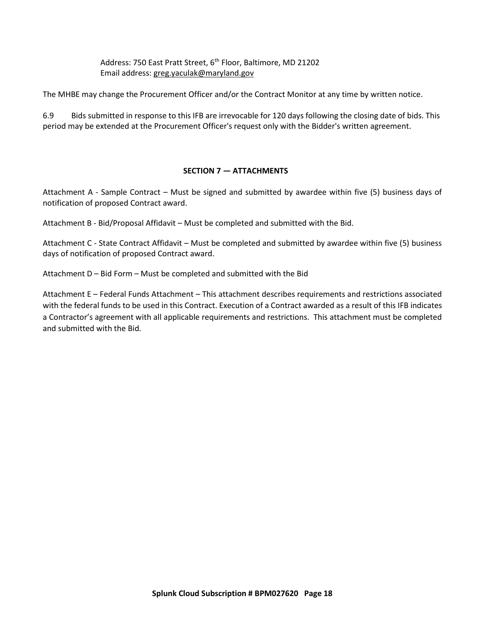Address: 750 East Pratt Street, 6<sup>th</sup> Floor, Baltimore, MD 21202 Email address: [greg.yaculak@maryland.gov](mailto:greg.yaculak@maryland.gov) 

The MHBE may change the Procurement Officer and/or the Contract Monitor at any time by written notice.

<span id="page-17-0"></span>6.9 Bids submitted in response to this IFB are irrevocable for 120 days following the closing date of bids. This period may be extended at the Procurement Officer's request only with the Bidder's written agreement.

## **SECTION 7 — ATTACHMENTS**

Attachment A - Sample Contract – Must be signed and submitted by awardee within five (5) business days of notification of proposed Contract award.

Attachment B - Bid/Proposal Affidavit – Must be completed and submitted with the Bid.

Attachment C - State Contract Affidavit – Must be completed and submitted by awardee within five (5) business days of notification of proposed Contract award.

Attachment D – Bid Form – Must be completed and submitted with the Bid

Attachment E – Federal Funds Attachment – This attachment describes requirements and restrictions associated with the federal funds to be used in this Contract. Execution of a Contract awarded as a result of this IFB indicates a Contractor's agreement with all applicable requirements and restrictions. This attachment must be completed and submitted with the Bid.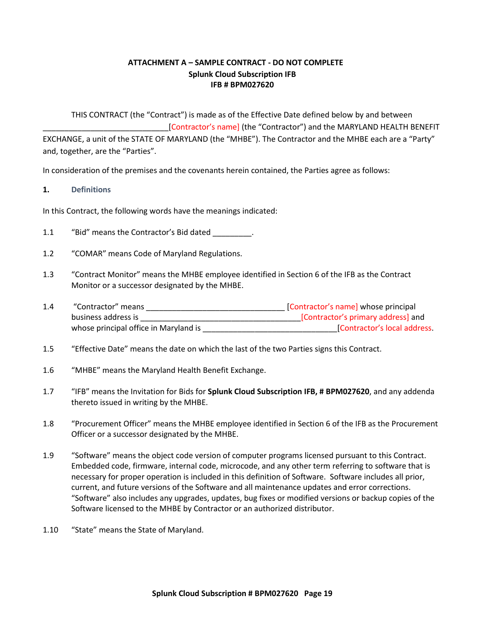# **ATTACHMENT A – SAMPLE CONTRACT - DO NOT COMPLETE Splunk Cloud Subscription IFB IFB # BPM027620**

<span id="page-18-0"></span>THIS CONTRACT (the "Contract") is made as of the Effective Date defined below by and between [Contractor's name] (the "Contractor") and the MARYLAND HEALTH BENEFIT EXCHANGE, a unit of the STATE OF MARYLAND (the "MHBE"). The Contractor and the MHBE each are a "Party" and, together, are the "Parties".

In consideration of the premises and the covenants herein contained, the Parties agree as follows:

#### **1. Definitions**

In this Contract, the following words have the meanings indicated:

- 1.1 "Bid" means the Contractor's Bid dated .
- 1.2 "COMAR" means Code of Maryland Regulations.
- 1.3 "Contract Monitor" means the MHBE employee identified in Section 6 of the IFB as the Contract Monitor or a successor designated by the MHBE.
- 1.4 "Contractor" means \_\_\_\_\_\_\_\_\_\_\_\_\_\_\_\_\_\_\_\_\_\_\_\_\_\_\_\_\_\_\_\_ [Contractor's name] whose principal business address is \_\_\_\_\_\_\_\_\_\_\_\_\_\_\_\_\_\_\_\_\_\_\_\_\_\_\_\_\_\_\_\_\_\_\_\_\_[Contractor's primary address] and whose principal office in Maryland is equal to the set of the contractor's local address.
- 1.5 "Effective Date" means the date on which the last of the two Parties signs this Contract.
- 1.6 "MHBE" means the Maryland Health Benefit Exchange.
- 1.7 "IFB" means the Invitation for Bids for **Splunk Cloud Subscription IFB, # BPM027620**, and any addenda thereto issued in writing by the MHBE.
- 1.8 "Procurement Officer" means the MHBE employee identified in Section 6 of the IFB as the Procurement Officer or a successor designated by the MHBE.
- 1.9 "Software" means the object code version of computer programs licensed pursuant to this Contract. Embedded code, firmware, internal code, microcode, and any other term referring to software that is necessary for proper operation is included in this definition of Software. Software includes all prior, current, and future versions of the Software and all maintenance updates and error corrections. "Software" also includes any upgrades, updates, bug fixes or modified versions or backup copies of the Software licensed to the MHBE by Contractor or an authorized distributor.
- 1.10 "State" means the State of Maryland.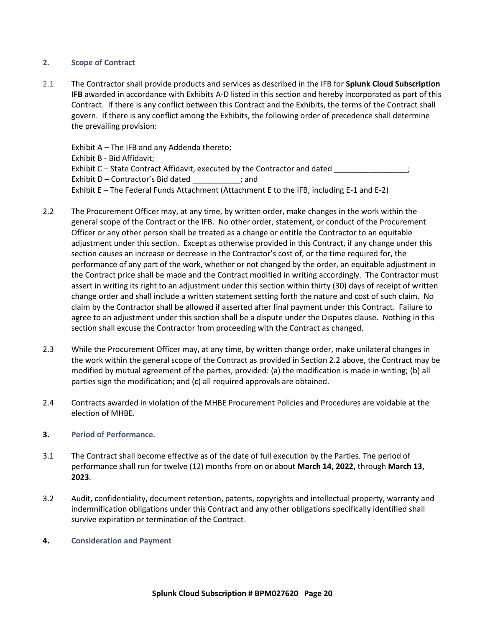#### **2. Scope of Contract**

2.1 The Contractor shall provide products and services as described in the IFB for **Splunk Cloud Subscription IFB** awarded in accordance with Exhibits A-D listed in this section and hereby incorporated as part of this Contract. If there is any conflict between this Contract and the Exhibits, the terms of the Contract shall govern. If there is any conflict among the Exhibits, the following order of precedence shall determine the prevailing provision:

Exhibit A – The IFB and any Addenda thereto; Exhibit B - Bid Affidavit; Exhibit C – State Contract Affidavit, executed by the Contractor and dated \_\_\_\_\_\_\_\_\_\_\_\_\_\_\_\_\_; Exhibit D – Contractor's Bid dated \_\_\_\_\_\_\_\_\_\_\_; and Exhibit E – The Federal Funds Attachment (Attachment E to the IFB, including E-1 and E-2)

- 2.2 The Procurement Officer may, at any time, by written order, make changes in the work within the general scope of the Contract or the IFB. No other order, statement, or conduct of the Procurement Officer or any other person shall be treated as a change or entitle the Contractor to an equitable adjustment under this section. Except as otherwise provided in this Contract, if any change under this section causes an increase or decrease in the Contractor's cost of, or the time required for, the performance of any part of the work, whether or not changed by the order, an equitable adjustment in the Contract price shall be made and the Contract modified in writing accordingly. The Contractor must assert in writing its right to an adjustment under this section within thirty (30) days of receipt of written change order and shall include a written statement setting forth the nature and cost of such claim. No claim by the Contractor shall be allowed if asserted after final payment under this Contract. Failure to agree to an adjustment under this section shall be a dispute under the Disputes clause. Nothing in this section shall excuse the Contractor from proceeding with the Contract as changed.
- 2.3 While the Procurement Officer may, at any time, by written change order, make unilateral changes in the work within the general scope of the Contract as provided in Section 2.2 above, the Contract may be modified by mutual agreement of the parties, provided: (a) the modification is made in writing; (b) all parties sign the modification; and (c) all required approvals are obtained.
- 2.4 Contracts awarded in violation of the MHBE Procurement Policies and Procedures are voidable at the election of MHBE.

#### **3. Period of Performance.**

- 3.1 The Contract shall become effective as of the date of full execution by the Parties. The period of performance shall run for twelve (12) months from on or about **March 14, 2022,** through **March 13, 2023**.
- 3.2 Audit, confidentiality, document retention, patents, copyrights and intellectual property, warranty and indemnification obligations under this Contract and any other obligations specifically identified shall survive expiration or termination of the Contract.

#### **4. Consideration and Payment**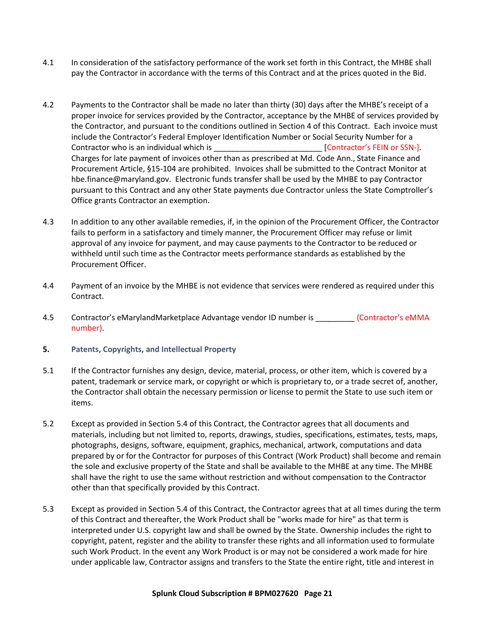- 4.1 In consideration of the satisfactory performance of the work set forth in this Contract, the MHBE shall pay the Contractor in accordance with the terms of this Contract and at the prices quoted in the Bid.
- 4.2 Payments to the Contractor shall be made no later than thirty (30) days after the MHBE's receipt of a proper invoice for services provided by the Contractor, acceptance by the MHBE of services provided by the Contractor, and pursuant to the conditions outlined in Section 4 of this Contract. Each invoice must include the Contractor's Federal Employer Identification Number or Social Security Number for a Contractor who is an individual which is example to the set of contractor's FEIN or SSN-]. Charges for late payment of invoices other than as prescribed at Md. Code Ann., State Finance and Procurement Article, §15-104 are prohibited. Invoices shall be submitted to the Contract Monitor at hbe.finance@maryland.gov. Electronic funds transfer shall be used by the MHBE to pay Contractor pursuant to this Contract and any other State payments due Contractor unless the State Comptroller's Office grants Contractor an exemption.
- 4.3 In addition to any other available remedies, if, in the opinion of the Procurement Officer, the Contractor fails to perform in a satisfactory and timely manner, the Procurement Officer may refuse or limit approval of any invoice for payment, and may cause payments to the Contractor to be reduced or withheld until such time as the Contractor meets performance standards as established by the Procurement Officer.
- 4.4 Payment of an invoice by the MHBE is not evidence that services were rendered as required under this Contract.
- 4.5 Contractor's eMarylandMarketplace Advantage vendor ID number is \_\_\_\_\_\_\_\_\_ (Contractor's eMMA number).
- **5. Patents, Copyrights, and Intellectual Property**
- 5.1 If the Contractor furnishes any design, device, material, process, or other item, which is covered by a patent, trademark or service mark, or copyright or which is proprietary to, or a trade secret of, another, the Contractor shall obtain the necessary permission or license to permit the State to use such item or items.
- 5.2 Except as provided in Section 5.4 of this Contract, the Contractor agrees that all documents and materials, including but not limited to, reports, drawings, studies, specifications, estimates, tests, maps, photographs, designs, software, equipment, graphics, mechanical, artwork, computations and data prepared by or for the Contractor for purposes of this Contract (Work Product) shall become and remain the sole and exclusive property of the State and shall be available to the MHBE at any time. The MHBE shall have the right to use the same without restriction and without compensation to the Contractor other than that specifically provided by this Contract.
- 5.3 Except as provided in Section 5.4 of this Contract, the Contractor agrees that at all times during the term of this Contract and thereafter, the Work Product shall be "works made for hire" as that term is interpreted under U.S. copyright law and shall be owned by the State. Ownership includes the right to copyright, patent, register and the ability to transfer these rights and all information used to formulate such Work Product. In the event any Work Product is or may not be considered a work made for hire under applicable law, Contractor assigns and transfers to the State the entire right, title and interest in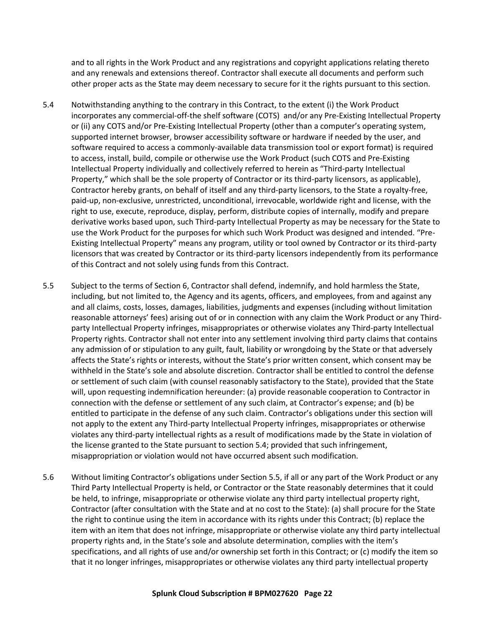and to all rights in the Work Product and any registrations and copyright applications relating thereto and any renewals and extensions thereof. Contractor shall execute all documents and perform such other proper acts as the State may deem necessary to secure for it the rights pursuant to this section.

- 5.4 Notwithstanding anything to the contrary in this Contract, to the extent (i) the Work Product incorporates any commercial-off-the shelf software (COTS) and/or any Pre-Existing Intellectual Property or (ii) any COTS and/or Pre-Existing Intellectual Property (other than a computer's operating system, supported internet browser, browser accessibility software or hardware if needed by the user, and software required to access a commonly-available data transmission tool or export format) is required to access, install, build, compile or otherwise use the Work Product (such COTS and Pre-Existing Intellectual Property individually and collectively referred to herein as "Third-party Intellectual Property," which shall be the sole property of Contractor or its third-party licensors, as applicable), Contractor hereby grants, on behalf of itself and any third-party licensors, to the State a royalty-free, paid-up, non-exclusive, unrestricted, unconditional, irrevocable, worldwide right and license, with the right to use, execute, reproduce, display, perform, distribute copies of internally, modify and prepare derivative works based upon, such Third-party Intellectual Property as may be necessary for the State to use the Work Product for the purposes for which such Work Product was designed and intended. "Pre-Existing Intellectual Property" means any program, utility or tool owned by Contractor or its third-party licensors that was created by Contractor or its third-party licensors independently from its performance of this Contract and not solely using funds from this Contract.
- 5.5 Subject to the terms of Section 6, Contractor shall defend, indemnify, and hold harmless the State, including, but not limited to, the Agency and its agents, officers, and employees, from and against any and all claims, costs, losses, damages, liabilities, judgments and expenses (including without limitation reasonable attorneys' fees) arising out of or in connection with any claim the Work Product or any Thirdparty Intellectual Property infringes, misappropriates or otherwise violates any Third-party Intellectual Property rights. Contractor shall not enter into any settlement involving third party claims that contains any admission of or stipulation to any guilt, fault, liability or wrongdoing by the State or that adversely affects the State's rights or interests, without the State's prior written consent, which consent may be withheld in the State's sole and absolute discretion. Contractor shall be entitled to control the defense or settlement of such claim (with counsel reasonably satisfactory to the State), provided that the State will, upon requesting indemnification hereunder: (a) provide reasonable cooperation to Contractor in connection with the defense or settlement of any such claim, at Contractor's expense; and (b) be entitled to participate in the defense of any such claim. Contractor's obligations under this section will not apply to the extent any Third-party Intellectual Property infringes, misappropriates or otherwise violates any third-party intellectual rights as a result of modifications made by the State in violation of the license granted to the State pursuant to section 5.4; provided that such infringement, misappropriation or violation would not have occurred absent such modification.
- 5.6 Without limiting Contractor's obligations under Section 5.5, if all or any part of the Work Product or any Third Party Intellectual Property is held, or Contractor or the State reasonably determines that it could be held, to infringe, misappropriate or otherwise violate any third party intellectual property right, Contractor (after consultation with the State and at no cost to the State): (a) shall procure for the State the right to continue using the item in accordance with its rights under this Contract; (b) replace the item with an item that does not infringe, misappropriate or otherwise violate any third party intellectual property rights and, in the State's sole and absolute determination, complies with the item's specifications, and all rights of use and/or ownership set forth in this Contract; or (c) modify the item so that it no longer infringes, misappropriates or otherwise violates any third party intellectual property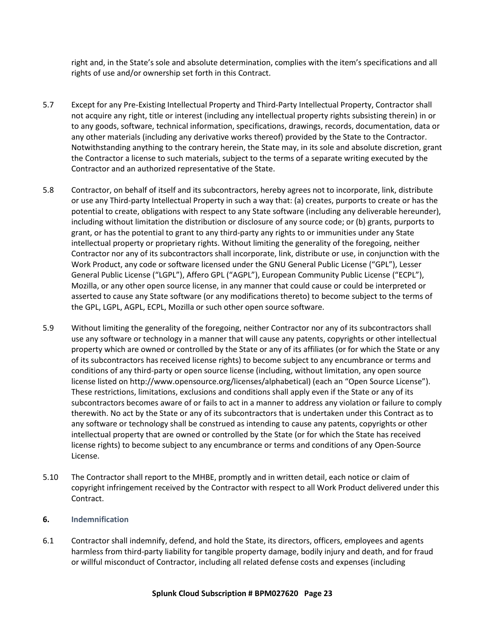right and, in the State's sole and absolute determination, complies with the item's specifications and all rights of use and/or ownership set forth in this Contract.

- 5.7 Except for any Pre-Existing Intellectual Property and Third-Party Intellectual Property, Contractor shall not acquire any right, title or interest (including any intellectual property rights subsisting therein) in or to any goods, software, technical information, specifications, drawings, records, documentation, data or any other materials (including any derivative works thereof) provided by the State to the Contractor. Notwithstanding anything to the contrary herein, the State may, in its sole and absolute discretion, grant the Contractor a license to such materials, subject to the terms of a separate writing executed by the Contractor and an authorized representative of the State.
- 5.8 Contractor, on behalf of itself and its subcontractors, hereby agrees not to incorporate, link, distribute or use any Third-party Intellectual Property in such a way that: (a) creates, purports to create or has the potential to create, obligations with respect to any State software (including any deliverable hereunder), including without limitation the distribution or disclosure of any source code; or (b) grants, purports to grant, or has the potential to grant to any third-party any rights to or immunities under any State intellectual property or proprietary rights. Without limiting the generality of the foregoing, neither Contractor nor any of its subcontractors shall incorporate, link, distribute or use, in conjunction with the Work Product, any code or software licensed under the GNU General Public License ("GPL"), Lesser General Public License ("LGPL"), Affero GPL ("AGPL"), European Community Public License ("ECPL"), Mozilla, or any other open source license, in any manner that could cause or could be interpreted or asserted to cause any State software (or any modifications thereto) to become subject to the terms of the GPL, LGPL, AGPL, ECPL, Mozilla or such other open source software.
- 5.9 Without limiting the generality of the foregoing, neither Contractor nor any of its subcontractors shall use any software or technology in a manner that will cause any patents, copyrights or other intellectual property which are owned or controlled by the State or any of its affiliates (or for which the State or any of its subcontractors has received license rights) to become subject to any encumbrance or terms and conditions of any third-party or open source license (including, without limitation, any open source license listed on http://www.opensource.org/licenses/alphabetical) (each an "Open Source License"). These restrictions, limitations, exclusions and conditions shall apply even if the State or any of its subcontractors becomes aware of or fails to act in a manner to address any violation or failure to comply therewith. No act by the State or any of its subcontractors that is undertaken under this Contract as to any software or technology shall be construed as intending to cause any patents, copyrights or other intellectual property that are owned or controlled by the State (or for which the State has received license rights) to become subject to any encumbrance or terms and conditions of any Open-Source License.
- 5.10 The Contractor shall report to the MHBE, promptly and in written detail, each notice or claim of copyright infringement received by the Contractor with respect to all Work Product delivered under this Contract.

#### **6. Indemnification**

6.1 Contractor shall indemnify, defend, and hold the State, its directors, officers, employees and agents harmless from third-party liability for tangible property damage, bodily injury and death, and for fraud or willful misconduct of Contractor, including all related defense costs and expenses (including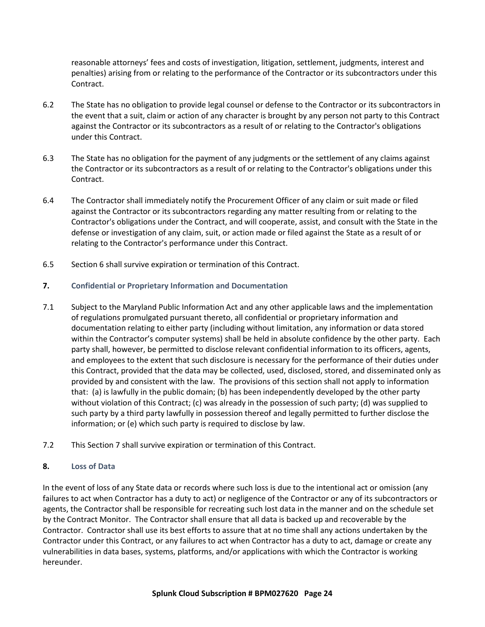reasonable attorneys' fees and costs of investigation, litigation, settlement, judgments, interest and penalties) arising from or relating to the performance of the Contractor or its subcontractors under this Contract.

- 6.2 The State has no obligation to provide legal counsel or defense to the Contractor or its subcontractors in the event that a suit, claim or action of any character is brought by any person not party to this Contract against the Contractor or its subcontractors as a result of or relating to the Contractor's obligations under this Contract.
- 6.3 The State has no obligation for the payment of any judgments or the settlement of any claims against the Contractor or its subcontractors as a result of or relating to the Contractor's obligations under this Contract.
- 6.4 The Contractor shall immediately notify the Procurement Officer of any claim or suit made or filed against the Contractor or its subcontractors regarding any matter resulting from or relating to the Contractor's obligations under the Contract, and will cooperate, assist, and consult with the State in the defense or investigation of any claim, suit, or action made or filed against the State as a result of or relating to the Contractor's performance under this Contract.
- 6.5 Section 6 shall survive expiration or termination of this Contract.

# **7. Confidential or Proprietary Information and Documentation**

- 7.1 Subject to the Maryland Public Information Act and any other applicable laws and the implementation of regulations promulgated pursuant thereto, all confidential or proprietary information and documentation relating to either party (including without limitation, any information or data stored within the Contractor's computer systems) shall be held in absolute confidence by the other party. Each party shall, however, be permitted to disclose relevant confidential information to its officers, agents, and employees to the extent that such disclosure is necessary for the performance of their duties under this Contract, provided that the data may be collected, used, disclosed, stored, and disseminated only as provided by and consistent with the law. The provisions of this section shall not apply to information that: (a) is lawfully in the public domain; (b) has been independently developed by the other party without violation of this Contract; (c) was already in the possession of such party; (d) was supplied to such party by a third party lawfully in possession thereof and legally permitted to further disclose the information; or (e) which such party is required to disclose by law.
- 7.2 This Section 7 shall survive expiration or termination of this Contract.

# **8. Loss of Data**

In the event of loss of any State data or records where such loss is due to the intentional act or omission (any failures to act when Contractor has a duty to act) or negligence of the Contractor or any of its subcontractors or agents, the Contractor shall be responsible for recreating such lost data in the manner and on the schedule set by the Contract Monitor. The Contractor shall ensure that all data is backed up and recoverable by the Contractor. Contractor shall use its best efforts to assure that at no time shall any actions undertaken by the Contractor under this Contract, or any failures to act when Contractor has a duty to act, damage or create any vulnerabilities in data bases, systems, platforms, and/or applications with which the Contractor is working hereunder.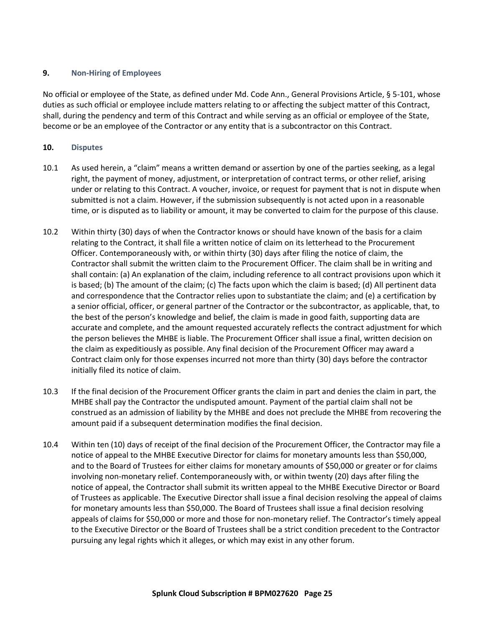#### **9. Non-Hiring of Employees**

No official or employee of the State, as defined under Md. Code Ann., General Provisions Article, § 5-101, whose duties as such official or employee include matters relating to or affecting the subject matter of this Contract, shall, during the pendency and term of this Contract and while serving as an official or employee of the State, become or be an employee of the Contractor or any entity that is a subcontractor on this Contract.

#### **10. Disputes**

- 10.1 As used herein, a "claim" means a written demand or assertion by one of the parties seeking, as a legal right, the payment of money, adjustment, or interpretation of contract terms, or other relief, arising under or relating to this Contract. A voucher, invoice, or request for payment that is not in dispute when submitted is not a claim. However, if the submission subsequently is not acted upon in a reasonable time, or is disputed as to liability or amount, it may be converted to claim for the purpose of this clause.
- 10.2 Within thirty (30) days of when the Contractor knows or should have known of the basis for a claim relating to the Contract, it shall file a written notice of claim on its letterhead to the Procurement Officer. Contemporaneously with, or within thirty (30) days after filing the notice of claim, the Contractor shall submit the written claim to the Procurement Officer. The claim shall be in writing and shall contain: (a) An explanation of the claim, including reference to all contract provisions upon which it is based; (b) The amount of the claim; (c) The facts upon which the claim is based; (d) All pertinent data and correspondence that the Contractor relies upon to substantiate the claim; and (e) a certification by a senior official, officer, or general partner of the Contractor or the subcontractor, as applicable, that, to the best of the person's knowledge and belief, the claim is made in good faith, supporting data are accurate and complete, and the amount requested accurately reflects the contract adjustment for which the person believes the MHBE is liable. The Procurement Officer shall issue a final, written decision on the claim as expeditiously as possible. Any final decision of the Procurement Officer may award a Contract claim only for those expenses incurred not more than thirty (30) days before the contractor initially filed its notice of claim.
- 10.3 If the final decision of the Procurement Officer grants the claim in part and denies the claim in part, the MHBE shall pay the Contractor the undisputed amount. Payment of the partial claim shall not be construed as an admission of liability by the MHBE and does not preclude the MHBE from recovering the amount paid if a subsequent determination modifies the final decision.
- 10.4 Within ten (10) days of receipt of the final decision of the Procurement Officer, the Contractor may file a notice of appeal to the MHBE Executive Director for claims for monetary amounts less than \$50,000, and to the Board of Trustees for either claims for monetary amounts of \$50,000 or greater or for claims involving non-monetary relief. Contemporaneously with, or within twenty (20) days after filing the notice of appeal, the Contractor shall submit its written appeal to the MHBE Executive Director or Board of Trustees as applicable. The Executive Director shall issue a final decision resolving the appeal of claims for monetary amounts less than \$50,000. The Board of Trustees shall issue a final decision resolving appeals of claims for \$50,000 or more and those for non-monetary relief. The Contractor's timely appeal to the Executive Director or the Board of Trustees shall be a strict condition precedent to the Contractor pursuing any legal rights which it alleges, or which may exist in any other forum.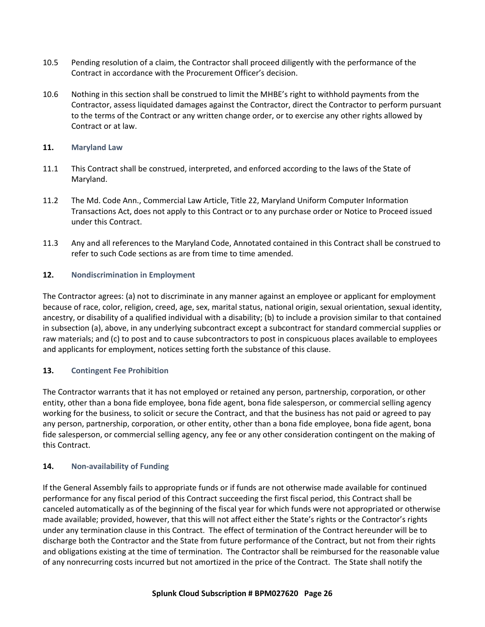- 10.5 Pending resolution of a claim, the Contractor shall proceed diligently with the performance of the Contract in accordance with the Procurement Officer's decision.
- 10.6 Nothing in this section shall be construed to limit the MHBE's right to withhold payments from the Contractor, assess liquidated damages against the Contractor, direct the Contractor to perform pursuant to the terms of the Contract or any written change order, or to exercise any other rights allowed by Contract or at law.

#### **11. Maryland Law**

- 11.1 This Contract shall be construed, interpreted, and enforced according to the laws of the State of Maryland.
- 11.2 The Md. Code Ann., Commercial Law Article, Title 22, Maryland Uniform Computer Information Transactions Act, does not apply to this Contract or to any purchase order or Notice to Proceed issued under this Contract.
- 11.3 Any and all references to the Maryland Code, Annotated contained in this Contract shall be construed to refer to such Code sections as are from time to time amended.

## **12. Nondiscrimination in Employment**

The Contractor agrees: (a) not to discriminate in any manner against an employee or applicant for employment because of race, color, religion, creed, age, sex, marital status, national origin, sexual orientation, sexual identity, ancestry, or disability of a qualified individual with a disability; (b) to include a provision similar to that contained in subsection (a), above, in any underlying subcontract except a subcontract for standard commercial supplies or raw materials; and (c) to post and to cause subcontractors to post in conspicuous places available to employees and applicants for employment, notices setting forth the substance of this clause.

# **13. Contingent Fee Prohibition**

The Contractor warrants that it has not employed or retained any person, partnership, corporation, or other entity, other than a bona fide employee, bona fide agent, bona fide salesperson, or commercial selling agency working for the business, to solicit or secure the Contract, and that the business has not paid or agreed to pay any person, partnership, corporation, or other entity, other than a bona fide employee, bona fide agent, bona fide salesperson, or commercial selling agency, any fee or any other consideration contingent on the making of this Contract.

# **14. Non-availability of Funding**

If the General Assembly fails to appropriate funds or if funds are not otherwise made available for continued performance for any fiscal period of this Contract succeeding the first fiscal period, this Contract shall be canceled automatically as of the beginning of the fiscal year for which funds were not appropriated or otherwise made available; provided, however, that this will not affect either the State's rights or the Contractor's rights under any termination clause in this Contract. The effect of termination of the Contract hereunder will be to discharge both the Contractor and the State from future performance of the Contract, but not from their rights and obligations existing at the time of termination. The Contractor shall be reimbursed for the reasonable value of any nonrecurring costs incurred but not amortized in the price of the Contract. The State shall notify the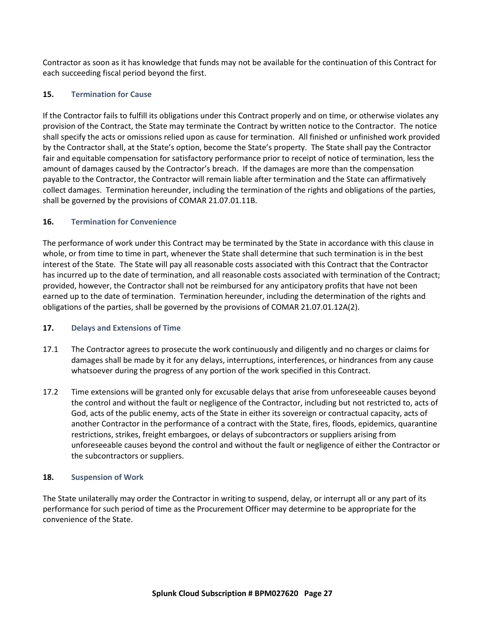Contractor as soon as it has knowledge that funds may not be available for the continuation of this Contract for each succeeding fiscal period beyond the first.

## **15. Termination for Cause**

If the Contractor fails to fulfill its obligations under this Contract properly and on time, or otherwise violates any provision of the Contract, the State may terminate the Contract by written notice to the Contractor. The notice shall specify the acts or omissions relied upon as cause for termination. All finished or unfinished work provided by the Contractor shall, at the State's option, become the State's property. The State shall pay the Contractor fair and equitable compensation for satisfactory performance prior to receipt of notice of termination, less the amount of damages caused by the Contractor's breach. If the damages are more than the compensation payable to the Contractor, the Contractor will remain liable after termination and the State can affirmatively collect damages. Termination hereunder, including the termination of the rights and obligations of the parties, shall be governed by the provisions of COMAR 21.07.01.11B.

## **16. Termination for Convenience**

The performance of work under this Contract may be terminated by the State in accordance with this clause in whole, or from time to time in part, whenever the State shall determine that such termination is in the best interest of the State. The State will pay all reasonable costs associated with this Contract that the Contractor has incurred up to the date of termination, and all reasonable costs associated with termination of the Contract; provided, however, the Contractor shall not be reimbursed for any anticipatory profits that have not been earned up to the date of termination. Termination hereunder, including the determination of the rights and obligations of the parties, shall be governed by the provisions of COMAR 21.07.01.12A(2).

#### **17. Delays and Extensions of Time**

- 17.1 The Contractor agrees to prosecute the work continuously and diligently and no charges or claims for damages shall be made by it for any delays, interruptions, interferences, or hindrances from any cause whatsoever during the progress of any portion of the work specified in this Contract.
- 17.2 Time extensions will be granted only for excusable delays that arise from unforeseeable causes beyond the control and without the fault or negligence of the Contractor, including but not restricted to, acts of God, acts of the public enemy, acts of the State in either its sovereign or contractual capacity, acts of another Contractor in the performance of a contract with the State, fires, floods, epidemics, quarantine restrictions, strikes, freight embargoes, or delays of subcontractors or suppliers arising from unforeseeable causes beyond the control and without the fault or negligence of either the Contractor or the subcontractors or suppliers.

#### **18. Suspension of Work**

The State unilaterally may order the Contractor in writing to suspend, delay, or interrupt all or any part of its performance for such period of time as the Procurement Officer may determine to be appropriate for the convenience of the State.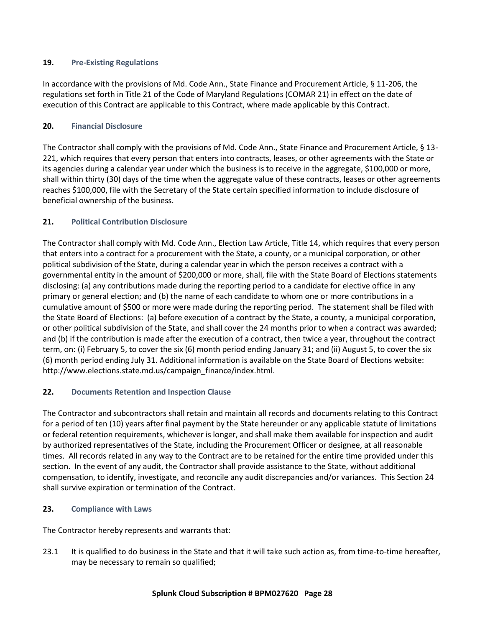## **19. Pre-Existing Regulations**

In accordance with the provisions of Md. Code Ann., State Finance and Procurement Article, § 11-206, the regulations set forth in Title 21 of the Code of Maryland Regulations (COMAR 21) in effect on the date of execution of this Contract are applicable to this Contract, where made applicable by this Contract.

## **20. Financial Disclosure**

The Contractor shall comply with the provisions of Md. Code Ann., State Finance and Procurement Article, § 13- 221, which requires that every person that enters into contracts, leases, or other agreements with the State or its agencies during a calendar year under which the business is to receive in the aggregate, \$100,000 or more, shall within thirty (30) days of the time when the aggregate value of these contracts, leases or other agreements reaches \$100,000, file with the Secretary of the State certain specified information to include disclosure of beneficial ownership of the business.

## **21. Political Contribution Disclosure**

The Contractor shall comply with Md. Code Ann., Election Law Article, Title 14, which requires that every person that enters into a contract for a procurement with the State, a county, or a municipal corporation, or other political subdivision of the State, during a calendar year in which the person receives a contract with a governmental entity in the amount of \$200,000 or more, shall, file with the State Board of Elections statements disclosing: (a) any contributions made during the reporting period to a candidate for elective office in any primary or general election; and (b) the name of each candidate to whom one or more contributions in a cumulative amount of \$500 or more were made during the reporting period. The statement shall be filed with the State Board of Elections: (a) before execution of a contract by the State, a county, a municipal corporation, or other political subdivision of the State, and shall cover the 24 months prior to when a contract was awarded; and (b) if the contribution is made after the execution of a contract, then twice a year, throughout the contract term, on: (i) February 5, to cover the six (6) month period ending January 31; and (ii) August 5, to cover the six (6) month period ending July 31. Additional information is available on the State Board of Elections website: http://www.elections.state.md.us/campaign\_finance/index.html.

# **22. Documents Retention and Inspection Clause**

The Contractor and subcontractors shall retain and maintain all records and documents relating to this Contract for a period of ten (10) years after final payment by the State hereunder or any applicable statute of limitations or federal retention requirements, whichever is longer, and shall make them available for inspection and audit by authorized representatives of the State, including the Procurement Officer or designee, at all reasonable times. All records related in any way to the Contract are to be retained for the entire time provided under this section. In the event of any audit, the Contractor shall provide assistance to the State, without additional compensation, to identify, investigate, and reconcile any audit discrepancies and/or variances. This Section 24 shall survive expiration or termination of the Contract.

#### **23. Compliance with Laws**

The Contractor hereby represents and warrants that:

23.1 It is qualified to do business in the State and that it will take such action as, from time-to-time hereafter, may be necessary to remain so qualified;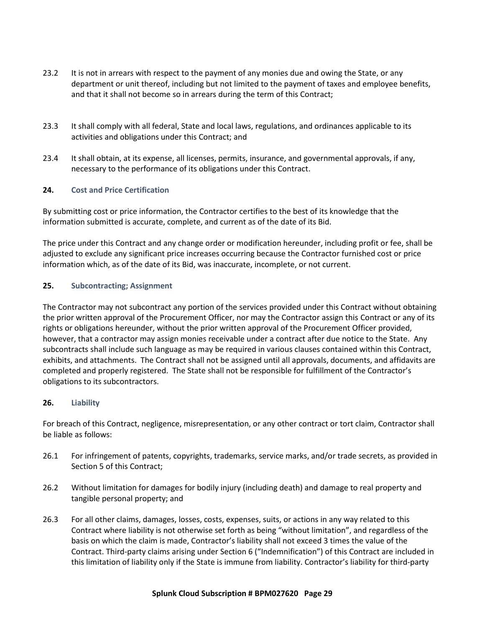- 23.2 It is not in arrears with respect to the payment of any monies due and owing the State, or any department or unit thereof, including but not limited to the payment of taxes and employee benefits, and that it shall not become so in arrears during the term of this Contract;
- 23.3 It shall comply with all federal, State and local laws, regulations, and ordinances applicable to its activities and obligations under this Contract; and
- 23.4 It shall obtain, at its expense, all licenses, permits, insurance, and governmental approvals, if any, necessary to the performance of its obligations under this Contract.

## **24. Cost and Price Certification**

By submitting cost or price information, the Contractor certifies to the best of its knowledge that the information submitted is accurate, complete, and current as of the date of its Bid.

The price under this Contract and any change order or modification hereunder, including profit or fee, shall be adjusted to exclude any significant price increases occurring because the Contractor furnished cost or price information which, as of the date of its Bid, was inaccurate, incomplete, or not current.

## **25. Subcontracting; Assignment**

The Contractor may not subcontract any portion of the services provided under this Contract without obtaining the prior written approval of the Procurement Officer, nor may the Contractor assign this Contract or any of its rights or obligations hereunder, without the prior written approval of the Procurement Officer provided, however, that a contractor may assign monies receivable under a contract after due notice to the State. Any subcontracts shall include such language as may be required in various clauses contained within this Contract, exhibits, and attachments. The Contract shall not be assigned until all approvals, documents, and affidavits are completed and properly registered. The State shall not be responsible for fulfillment of the Contractor's obligations to its subcontractors.

#### **26. Liability**

For breach of this Contract, negligence, misrepresentation, or any other contract or tort claim, Contractor shall be liable as follows:

- 26.1 For infringement of patents, copyrights, trademarks, service marks, and/or trade secrets, as provided in Section 5 of this Contract;
- 26.2 Without limitation for damages for bodily injury (including death) and damage to real property and tangible personal property; and
- 26.3 For all other claims, damages, losses, costs, expenses, suits, or actions in any way related to this Contract where liability is not otherwise set forth as being "without limitation", and regardless of the basis on which the claim is made, Contractor's liability shall not exceed 3 times the value of the Contract. Third-party claims arising under Section 6 ("Indemnification") of this Contract are included in this limitation of liability only if the State is immune from liability. Contractor's liability for third-party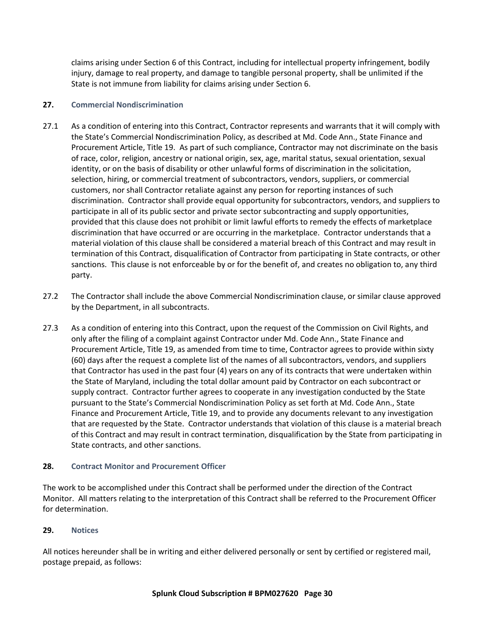claims arising under Section 6 of this Contract, including for intellectual property infringement, bodily injury, damage to real property, and damage to tangible personal property, shall be unlimited if the State is not immune from liability for claims arising under Section 6.

## **27. Commercial Nondiscrimination**

- 27.1 As a condition of entering into this Contract, Contractor represents and warrants that it will comply with the State's Commercial Nondiscrimination Policy, as described at Md. Code Ann., State Finance and Procurement Article, Title 19. As part of such compliance, Contractor may not discriminate on the basis of race, color, religion, ancestry or national origin, sex, age, marital status, sexual orientation, sexual identity, or on the basis of disability or other unlawful forms of discrimination in the solicitation, selection, hiring, or commercial treatment of subcontractors, vendors, suppliers, or commercial customers, nor shall Contractor retaliate against any person for reporting instances of such discrimination. Contractor shall provide equal opportunity for subcontractors, vendors, and suppliers to participate in all of its public sector and private sector subcontracting and supply opportunities, provided that this clause does not prohibit or limit lawful efforts to remedy the effects of marketplace discrimination that have occurred or are occurring in the marketplace. Contractor understands that a material violation of this clause shall be considered a material breach of this Contract and may result in termination of this Contract, disqualification of Contractor from participating in State contracts, or other sanctions. This clause is not enforceable by or for the benefit of, and creates no obligation to, any third party.
- 27.2 The Contractor shall include the above Commercial Nondiscrimination clause, or similar clause approved by the Department, in all subcontracts.
- 27.3 As a condition of entering into this Contract, upon the request of the Commission on Civil Rights, and only after the filing of a complaint against Contractor under Md. Code Ann., State Finance and Procurement Article, Title 19, as amended from time to time, Contractor agrees to provide within sixty (60) days after the request a complete list of the names of all subcontractors, vendors, and suppliers that Contractor has used in the past four (4) years on any of its contracts that were undertaken within the State of Maryland, including the total dollar amount paid by Contractor on each subcontract or supply contract. Contractor further agrees to cooperate in any investigation conducted by the State pursuant to the State's Commercial Nondiscrimination Policy as set forth at Md. Code Ann., State Finance and Procurement Article, Title 19, and to provide any documents relevant to any investigation that are requested by the State. Contractor understands that violation of this clause is a material breach of this Contract and may result in contract termination, disqualification by the State from participating in State contracts, and other sanctions.

# **28. Contract Monitor and Procurement Officer**

The work to be accomplished under this Contract shall be performed under the direction of the Contract Monitor. All matters relating to the interpretation of this Contract shall be referred to the Procurement Officer for determination.

# **29. Notices**

All notices hereunder shall be in writing and either delivered personally or sent by certified or registered mail, postage prepaid, as follows: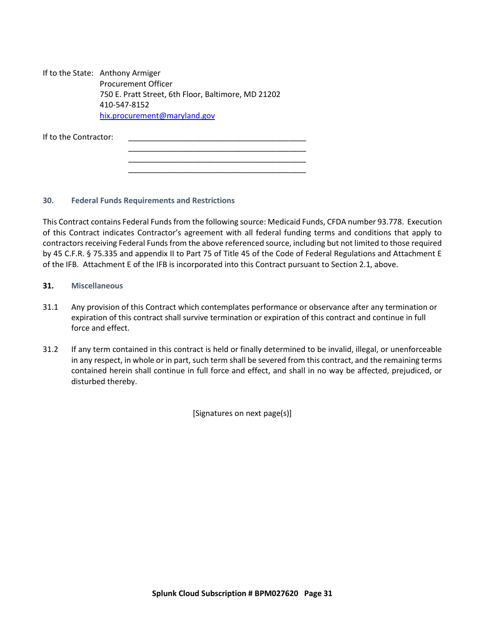If to the State: Anthony Armiger Procurement Officer 750 E. Pratt Street, 6th Floor, Baltimore, MD 21202 410-547-8152 [hix.procurement@maryland.gov](about:blank)

| If to the Contractor: |  |  |
|-----------------------|--|--|
|                       |  |  |
|                       |  |  |
|                       |  |  |

#### **30. Federal Funds Requirements and Restrictions**

This Contract contains Federal Funds from the following source: Medicaid Funds, CFDA number 93.778. Execution of this Contract indicates Contractor's agreement with all federal funding terms and conditions that apply to contractors receiving Federal Funds from the above referenced source, including but not limited to those required by 45 C.F.R. § 75.335 and appendix II to Part 75 of Title 45 of the Code of Federal Regulations and Attachment E of the IFB. Attachment E of the IFB is incorporated into this Contract pursuant to Section 2.1, above.

\_\_\_\_\_\_\_\_\_\_\_\_\_\_\_\_\_\_\_\_\_\_\_\_\_\_\_\_\_\_\_\_\_\_\_\_\_\_\_\_\_

- **31. Miscellaneous**
- 31.1 Any provision of this Contract which contemplates performance or observance after any termination or expiration of this contract shall survive termination or expiration of this contract and continue in full force and effect.
- 31.2 If any term contained in this contract is held or finally determined to be invalid, illegal, or unenforceable in any respect, in whole or in part, such term shall be severed from this contract, and the remaining terms contained herein shall continue in full force and effect, and shall in no way be affected, prejudiced, or disturbed thereby.

[Signatures on next page(s)]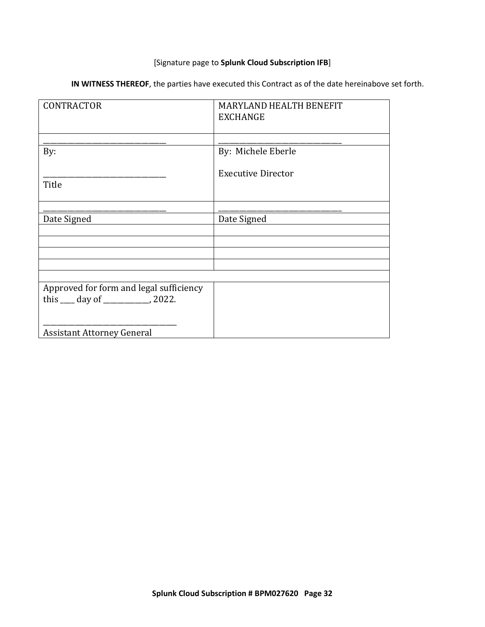# [Signature page to **Splunk Cloud Subscription IFB**]

| IN WITNESS THEREOF, the parties have executed this Contract as of the date hereinabove set forth. |  |  |  |  |  |
|---------------------------------------------------------------------------------------------------|--|--|--|--|--|
|---------------------------------------------------------------------------------------------------|--|--|--|--|--|

| <b>CONTRACTOR</b>                                                            | MARYLAND HEALTH BENEFIT<br><b>EXCHANGE</b> |
|------------------------------------------------------------------------------|--------------------------------------------|
|                                                                              |                                            |
| By:                                                                          | By: Michele Eberle                         |
| Title                                                                        | <b>Executive Director</b>                  |
|                                                                              |                                            |
|                                                                              |                                            |
| Date Signed                                                                  | Date Signed                                |
|                                                                              |                                            |
|                                                                              |                                            |
|                                                                              |                                            |
|                                                                              |                                            |
|                                                                              |                                            |
| Approved for form and legal sufficiency<br>this $\_\_$ day of $\_\_$ , 2022. |                                            |
|                                                                              |                                            |
| <b>Assistant Attorney General</b>                                            |                                            |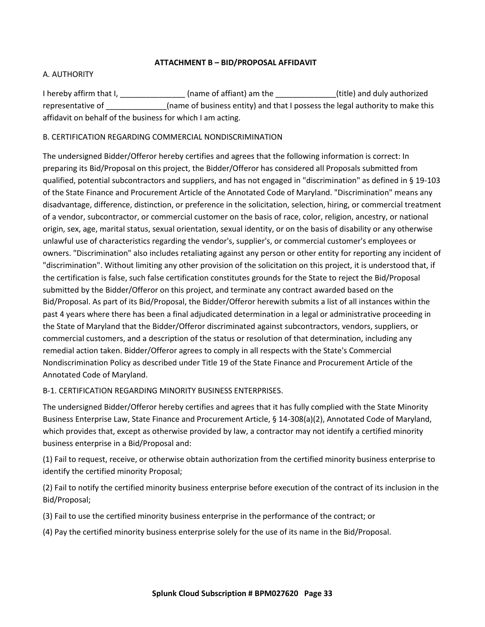## **ATTACHMENT B – BID/PROPOSAL AFFIDAVIT**

## <span id="page-32-0"></span>A. AUTHORITY

I hereby affirm that I, \_\_\_\_\_\_\_\_\_\_\_\_\_\_\_\_\_(name of affiant) am the \_\_\_\_\_\_\_\_\_\_\_\_\_\_(title) and duly authorized representative of \_\_\_\_\_\_\_\_\_\_\_\_\_\_\_(name of business entity) and that I possess the legal authority to make this affidavit on behalf of the business for which I am acting.

## B. CERTIFICATION REGARDING COMMERCIAL NONDISCRIMINATION

The undersigned Bidder/Offeror hereby certifies and agrees that the following information is correct: In preparing its Bid/Proposal on this project, the Bidder/Offeror has considered all Proposals submitted from qualified, potential subcontractors and suppliers, and has not engaged in "discrimination" as defined in § 19-103 of the State Finance and Procurement Article of the Annotated Code of Maryland. "Discrimination" means any disadvantage, difference, distinction, or preference in the solicitation, selection, hiring, or commercial treatment of a vendor, subcontractor, or commercial customer on the basis of race, color, religion, ancestry, or national origin, sex, age, marital status, sexual orientation, sexual identity, or on the basis of disability or any otherwise unlawful use of characteristics regarding the vendor's, supplier's, or commercial customer's employees or owners. "Discrimination" also includes retaliating against any person or other entity for reporting any incident of "discrimination". Without limiting any other provision of the solicitation on this project, it is understood that, if the certification is false, such false certification constitutes grounds for the State to reject the Bid/Proposal submitted by the Bidder/Offeror on this project, and terminate any contract awarded based on the Bid/Proposal. As part of its Bid/Proposal, the Bidder/Offeror herewith submits a list of all instances within the past 4 years where there has been a final adjudicated determination in a legal or administrative proceeding in the State of Maryland that the Bidder/Offeror discriminated against subcontractors, vendors, suppliers, or commercial customers, and a description of the status or resolution of that determination, including any remedial action taken. Bidder/Offeror agrees to comply in all respects with the State's Commercial Nondiscrimination Policy as described under Title 19 of the State Finance and Procurement Article of the Annotated Code of Maryland.

# B-1. CERTIFICATION REGARDING MINORITY BUSINESS ENTERPRISES.

The undersigned Bidder/Offeror hereby certifies and agrees that it has fully complied with the State Minority Business Enterprise Law, State Finance and Procurement Article, § 14-308(a)(2), Annotated Code of Maryland, which provides that, except as otherwise provided by law, a contractor may not identify a certified minority business enterprise in a Bid/Proposal and:

(1) Fail to request, receive, or otherwise obtain authorization from the certified minority business enterprise to identify the certified minority Proposal;

(2) Fail to notify the certified minority business enterprise before execution of the contract of its inclusion in the Bid/Proposal;

(3) Fail to use the certified minority business enterprise in the performance of the contract; or

(4) Pay the certified minority business enterprise solely for the use of its name in the Bid/Proposal.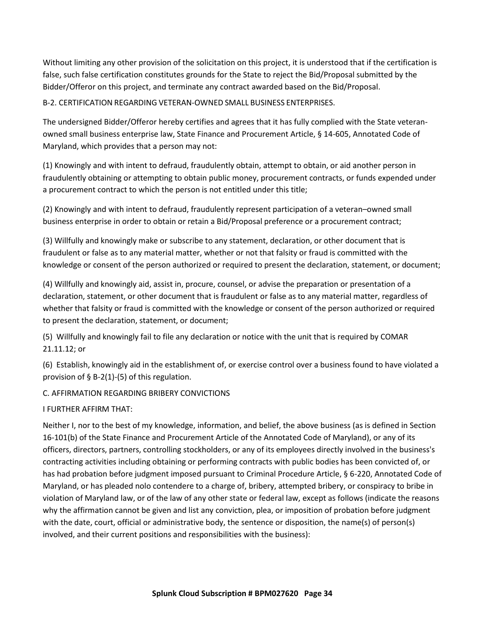Without limiting any other provision of the solicitation on this project, it is understood that if the certification is false, such false certification constitutes grounds for the State to reject the Bid/Proposal submitted by the Bidder/Offeror on this project, and terminate any contract awarded based on the Bid/Proposal.

B-2. CERTIFICATION REGARDING VETERAN-OWNED SMALL BUSINESS ENTERPRISES.

The undersigned Bidder/Offeror hereby certifies and agrees that it has fully complied with the State veteranowned small business enterprise law, State Finance and Procurement Article, § 14-605, Annotated Code of Maryland, which provides that a person may not:

(1) Knowingly and with intent to defraud, fraudulently obtain, attempt to obtain, or aid another person in fraudulently obtaining or attempting to obtain public money, procurement contracts, or funds expended under a procurement contract to which the person is not entitled under this title;

(2) Knowingly and with intent to defraud, fraudulently represent participation of a veteran–owned small business enterprise in order to obtain or retain a Bid/Proposal preference or a procurement contract;

(3) Willfully and knowingly make or subscribe to any statement, declaration, or other document that is fraudulent or false as to any material matter, whether or not that falsity or fraud is committed with the knowledge or consent of the person authorized or required to present the declaration, statement, or document;

(4) Willfully and knowingly aid, assist in, procure, counsel, or advise the preparation or presentation of a declaration, statement, or other document that is fraudulent or false as to any material matter, regardless of whether that falsity or fraud is committed with the knowledge or consent of the person authorized or required to present the declaration, statement, or document;

(5) Willfully and knowingly fail to file any declaration or notice with the unit that is required by COMAR 21.11.12; or

(6) Establish, knowingly aid in the establishment of, or exercise control over a business found to have violated a provision of  $\S$  B-2(1)-(5) of this regulation.

C. AFFIRMATION REGARDING BRIBERY CONVICTIONS

I FURTHER AFFIRM THAT:

Neither I, nor to the best of my knowledge, information, and belief, the above business (as is defined in Section 16-101(b) of the State Finance and Procurement Article of the Annotated Code of Maryland), or any of its officers, directors, partners, controlling stockholders, or any of its employees directly involved in the business's contracting activities including obtaining or performing contracts with public bodies has been convicted of, or has had probation before judgment imposed pursuant to Criminal Procedure Article, § 6-220, Annotated Code of Maryland, or has pleaded nolo contendere to a charge of, bribery, attempted bribery, or conspiracy to bribe in violation of Maryland law, or of the law of any other state or federal law, except as follows (indicate the reasons why the affirmation cannot be given and list any conviction, plea, or imposition of probation before judgment with the date, court, official or administrative body, the sentence or disposition, the name(s) of person(s) involved, and their current positions and responsibilities with the business):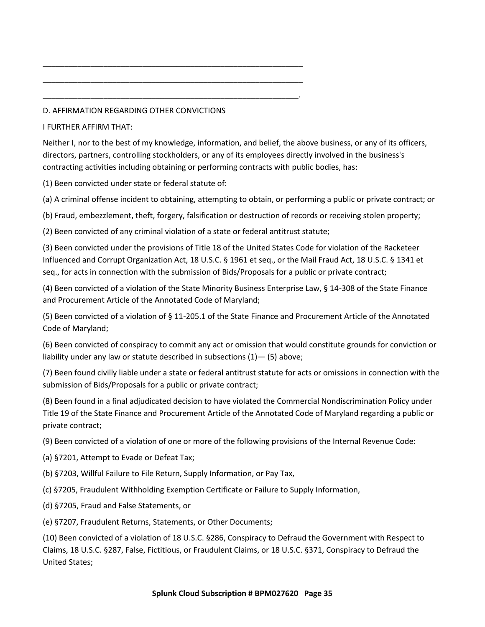## D. AFFIRMATION REGARDING OTHER CONVICTIONS

#### I FURTHER AFFIRM THAT:

Neither I, nor to the best of my knowledge, information, and belief, the above business, or any of its officers, directors, partners, controlling stockholders, or any of its employees directly involved in the business's contracting activities including obtaining or performing contracts with public bodies, has:

(1) Been convicted under state or federal statute of:

(a) A criminal offense incident to obtaining, attempting to obtain, or performing a public or private contract; or

(b) Fraud, embezzlement, theft, forgery, falsification or destruction of records or receiving stolen property;

(2) Been convicted of any criminal violation of a state or federal antitrust statute;

\_\_\_\_\_\_\_\_\_\_\_\_\_\_\_\_\_\_\_\_\_\_\_\_\_\_\_\_\_\_\_\_\_\_\_\_\_\_\_\_\_\_\_\_\_\_\_\_\_\_\_\_\_\_\_\_\_\_\_\_

\_\_\_\_\_\_\_\_\_\_\_\_\_\_\_\_\_\_\_\_\_\_\_\_\_\_\_\_\_\_\_\_\_\_\_\_\_\_\_\_\_\_\_\_\_\_\_\_\_\_\_\_\_\_\_\_\_\_\_\_

\_\_\_\_\_\_\_\_\_\_\_\_\_\_\_\_\_\_\_\_\_\_\_\_\_\_\_\_\_\_\_\_\_\_\_\_\_\_\_\_\_\_\_\_\_\_\_\_\_\_\_\_\_\_\_\_\_\_\_.

(3) Been convicted under the provisions of Title 18 of the United States Code for violation of the Racketeer Influenced and Corrupt Organization Act, 18 U.S.C. § 1961 et seq., or the Mail Fraud Act, 18 U.S.C. § 1341 et seq., for acts in connection with the submission of Bids/Proposals for a public or private contract;

(4) Been convicted of a violation of the State Minority Business Enterprise Law, § 14-308 of the State Finance and Procurement Article of the Annotated Code of Maryland;

(5) Been convicted of a violation of § 11-205.1 of the State Finance and Procurement Article of the Annotated Code of Maryland;

(6) Been convicted of conspiracy to commit any act or omission that would constitute grounds for conviction or liability under any law or statute described in subsections  $(1)$  –  $(5)$  above;

(7) Been found civilly liable under a state or federal antitrust statute for acts or omissions in connection with the submission of Bids/Proposals for a public or private contract;

(8) Been found in a final adjudicated decision to have violated the Commercial Nondiscrimination Policy under Title 19 of the State Finance and Procurement Article of the Annotated Code of Maryland regarding a public or private contract;

(9) Been convicted of a violation of one or more of the following provisions of the Internal Revenue Code:

(a) §7201, Attempt to Evade or Defeat Tax;

(b) §7203, Willful Failure to File Return, Supply Information, or Pay Tax,

(c) §7205, Fraudulent Withholding Exemption Certificate or Failure to Supply Information,

(d) §7205, Fraud and False Statements, or

(e) §7207, Fraudulent Returns, Statements, or Other Documents;

(10) Been convicted of a violation of 18 U.S.C. §286, Conspiracy to Defraud the Government with Respect to Claims, 18 U.S.C. §287, False, Fictitious, or Fraudulent Claims, or 18 U.S.C. §371, Conspiracy to Defraud the United States;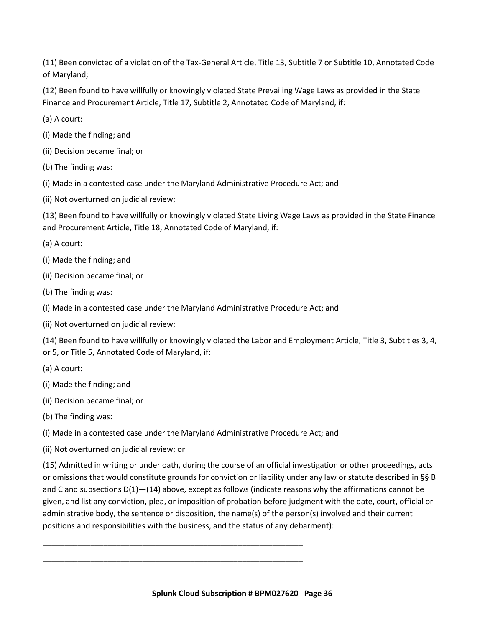(11) Been convicted of a violation of the Tax-General Article, Title 13, Subtitle 7 or Subtitle 10, Annotated Code of Maryland;

(12) Been found to have willfully or knowingly violated State Prevailing Wage Laws as provided in the State Finance and Procurement Article, Title 17, Subtitle 2, Annotated Code of Maryland, if:

(a) A court:

(i) Made the finding; and

(ii) Decision became final; or

(b) The finding was:

(i) Made in a contested case under the Maryland Administrative Procedure Act; and

(ii) Not overturned on judicial review;

(13) Been found to have willfully or knowingly violated State Living Wage Laws as provided in the State Finance and Procurement Article, Title 18, Annotated Code of Maryland, if:

(a) A court:

(i) Made the finding; and

(ii) Decision became final; or

(b) The finding was:

(i) Made in a contested case under the Maryland Administrative Procedure Act; and

(ii) Not overturned on judicial review;

(14) Been found to have willfully or knowingly violated the Labor and Employment Article, Title 3, Subtitles 3, 4, or 5, or Title 5, Annotated Code of Maryland, if:

(a) A court:

(i) Made the finding; and

(ii) Decision became final; or

(b) The finding was:

(i) Made in a contested case under the Maryland Administrative Procedure Act; and

\_\_\_\_\_\_\_\_\_\_\_\_\_\_\_\_\_\_\_\_\_\_\_\_\_\_\_\_\_\_\_\_\_\_\_\_\_\_\_\_\_\_\_\_\_\_\_\_\_\_\_\_\_\_\_\_\_\_\_\_

\_\_\_\_\_\_\_\_\_\_\_\_\_\_\_\_\_\_\_\_\_\_\_\_\_\_\_\_\_\_\_\_\_\_\_\_\_\_\_\_\_\_\_\_\_\_\_\_\_\_\_\_\_\_\_\_\_\_\_\_

(ii) Not overturned on judicial review; or

(15) Admitted in writing or under oath, during the course of an official investigation or other proceedings, acts or omissions that would constitute grounds for conviction or liability under any law or statute described in §§ B and C and subsections D(1)-(14) above, except as follows (indicate reasons why the affirmations cannot be given, and list any conviction, plea, or imposition of probation before judgment with the date, court, official or administrative body, the sentence or disposition, the name(s) of the person(s) involved and their current positions and responsibilities with the business, and the status of any debarment):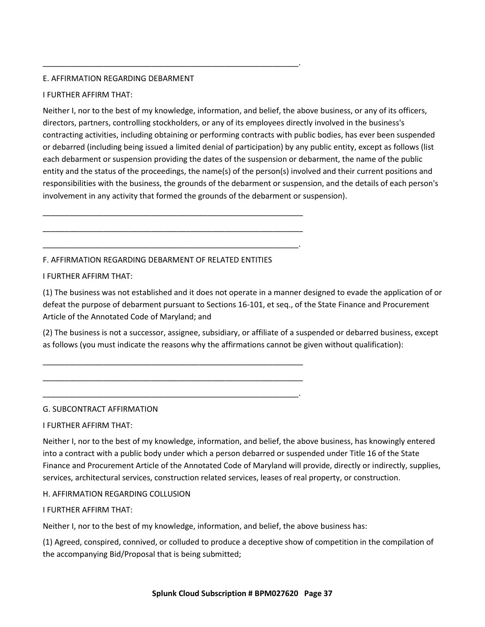# E. AFFIRMATION REGARDING DEBARMENT

## I FURTHER AFFIRM THAT:

Neither I, nor to the best of my knowledge, information, and belief, the above business, or any of its officers, directors, partners, controlling stockholders, or any of its employees directly involved in the business's contracting activities, including obtaining or performing contracts with public bodies, has ever been suspended or debarred (including being issued a limited denial of participation) by any public entity, except as follows (list each debarment or suspension providing the dates of the suspension or debarment, the name of the public entity and the status of the proceedings, the name(s) of the person(s) involved and their current positions and responsibilities with the business, the grounds of the debarment or suspension, and the details of each person's involvement in any activity that formed the grounds of the debarment or suspension).

F. AFFIRMATION REGARDING DEBARMENT OF RELATED ENTITIES

\_\_\_\_\_\_\_\_\_\_\_\_\_\_\_\_\_\_\_\_\_\_\_\_\_\_\_\_\_\_\_\_\_\_\_\_\_\_\_\_\_\_\_\_\_\_\_\_\_\_\_\_\_\_\_\_\_\_\_\_

\_\_\_\_\_\_\_\_\_\_\_\_\_\_\_\_\_\_\_\_\_\_\_\_\_\_\_\_\_\_\_\_\_\_\_\_\_\_\_\_\_\_\_\_\_\_\_\_\_\_\_\_\_\_\_\_\_\_\_\_

\_\_\_\_\_\_\_\_\_\_\_\_\_\_\_\_\_\_\_\_\_\_\_\_\_\_\_\_\_\_\_\_\_\_\_\_\_\_\_\_\_\_\_\_\_\_\_\_\_\_\_\_\_\_\_\_\_\_\_.

\_\_\_\_\_\_\_\_\_\_\_\_\_\_\_\_\_\_\_\_\_\_\_\_\_\_\_\_\_\_\_\_\_\_\_\_\_\_\_\_\_\_\_\_\_\_\_\_\_\_\_\_\_\_\_\_\_\_\_\_

\_\_\_\_\_\_\_\_\_\_\_\_\_\_\_\_\_\_\_\_\_\_\_\_\_\_\_\_\_\_\_\_\_\_\_\_\_\_\_\_\_\_\_\_\_\_\_\_\_\_\_\_\_\_\_\_\_\_\_\_

\_\_\_\_\_\_\_\_\_\_\_\_\_\_\_\_\_\_\_\_\_\_\_\_\_\_\_\_\_\_\_\_\_\_\_\_\_\_\_\_\_\_\_\_\_\_\_\_\_\_\_\_\_\_\_\_\_\_\_.

\_\_\_\_\_\_\_\_\_\_\_\_\_\_\_\_\_\_\_\_\_\_\_\_\_\_\_\_\_\_\_\_\_\_\_\_\_\_\_\_\_\_\_\_\_\_\_\_\_\_\_\_\_\_\_\_\_\_\_.

## I FURTHER AFFIRM THAT:

(1) The business was not established and it does not operate in a manner designed to evade the application of or defeat the purpose of debarment pursuant to Sections 16-101, et seq., of the State Finance and Procurement Article of the Annotated Code of Maryland; and

(2) The business is not a successor, assignee, subsidiary, or affiliate of a suspended or debarred business, except as follows (you must indicate the reasons why the affirmations cannot be given without qualification):

# G. SUBCONTRACT AFFIRMATION

# I FURTHER AFFIRM THAT:

Neither I, nor to the best of my knowledge, information, and belief, the above business, has knowingly entered into a contract with a public body under which a person debarred or suspended under Title 16 of the State Finance and Procurement Article of the Annotated Code of Maryland will provide, directly or indirectly, supplies, services, architectural services, construction related services, leases of real property, or construction.

# H. AFFIRMATION REGARDING COLLUSION

# I FURTHER AFFIRM THAT:

Neither I, nor to the best of my knowledge, information, and belief, the above business has:

(1) Agreed, conspired, connived, or colluded to produce a deceptive show of competition in the compilation of the accompanying Bid/Proposal that is being submitted;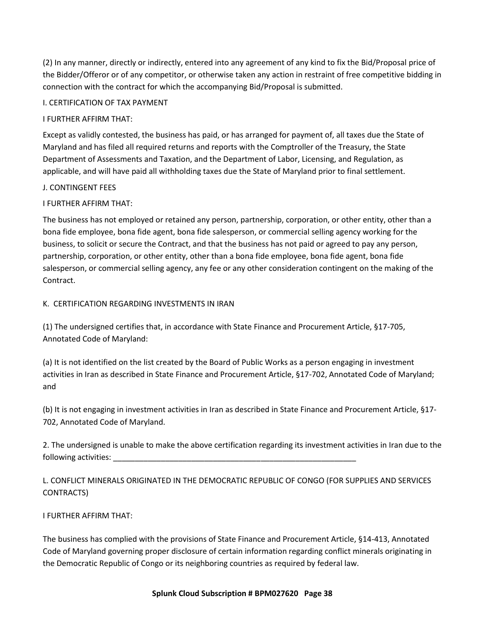(2) In any manner, directly or indirectly, entered into any agreement of any kind to fix the Bid/Proposal price of the Bidder/Offeror or of any competitor, or otherwise taken any action in restraint of free competitive bidding in connection with the contract for which the accompanying Bid/Proposal is submitted.

#### I. CERTIFICATION OF TAX PAYMENT

#### I FURTHER AFFIRM THAT:

Except as validly contested, the business has paid, or has arranged for payment of, all taxes due the State of Maryland and has filed all required returns and reports with the Comptroller of the Treasury, the State Department of Assessments and Taxation, and the Department of Labor, Licensing, and Regulation, as applicable, and will have paid all withholding taxes due the State of Maryland prior to final settlement.

#### J. CONTINGENT FEES

## I FURTHER AFFIRM THAT:

The business has not employed or retained any person, partnership, corporation, or other entity, other than a bona fide employee, bona fide agent, bona fide salesperson, or commercial selling agency working for the business, to solicit or secure the Contract, and that the business has not paid or agreed to pay any person, partnership, corporation, or other entity, other than a bona fide employee, bona fide agent, bona fide salesperson, or commercial selling agency, any fee or any other consideration contingent on the making of the Contract.

#### K. CERTIFICATION REGARDING INVESTMENTS IN IRAN

(1) The undersigned certifies that, in accordance with State Finance and Procurement Article, §17-705, Annotated Code of Maryland:

(a) It is not identified on the list created by the Board of Public Works as a person engaging in investment activities in Iran as described in State Finance and Procurement Article, §17-702, Annotated Code of Maryland; and

(b) It is not engaging in investment activities in Iran as described in State Finance and Procurement Article, §17- 702, Annotated Code of Maryland.

2. The undersigned is unable to make the above certification regarding its investment activities in Iran due to the following activities:

L. CONFLICT MINERALS ORIGINATED IN THE DEMOCRATIC REPUBLIC OF CONGO (FOR SUPPLIES AND SERVICES CONTRACTS)

# I FURTHER AFFIRM THAT:

The business has complied with the provisions of State Finance and Procurement Article, §14-413, Annotated Code of Maryland governing proper disclosure of certain information regarding conflict minerals originating in the Democratic Republic of Congo or its neighboring countries as required by federal law.

#### **Splunk Cloud Subscription # BPM027620 Page 38**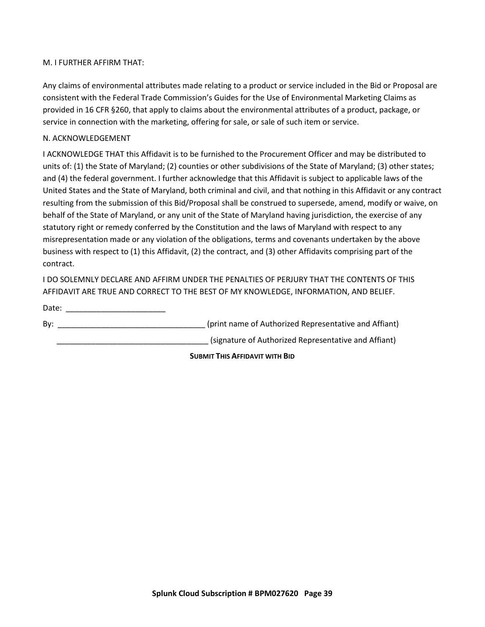#### M. I FURTHER AFFIRM THAT:

Any claims of environmental attributes made relating to a product or service included in the Bid or Proposal are consistent with the Federal Trade Commission's Guides for the Use of Environmental Marketing Claims as provided in 16 CFR §260, that apply to claims about the environmental attributes of a product, package, or service in connection with the marketing, offering for sale, or sale of such item or service.

#### N. ACKNOWLEDGEMENT

I ACKNOWLEDGE THAT this Affidavit is to be furnished to the Procurement Officer and may be distributed to units of: (1) the State of Maryland; (2) counties or other subdivisions of the State of Maryland; (3) other states; and (4) the federal government. I further acknowledge that this Affidavit is subject to applicable laws of the United States and the State of Maryland, both criminal and civil, and that nothing in this Affidavit or any contract resulting from the submission of this Bid/Proposal shall be construed to supersede, amend, modify or waive, on behalf of the State of Maryland, or any unit of the State of Maryland having jurisdiction, the exercise of any statutory right or remedy conferred by the Constitution and the laws of Maryland with respect to any misrepresentation made or any violation of the obligations, terms and covenants undertaken by the above business with respect to (1) this Affidavit, (2) the contract, and (3) other Affidavits comprising part of the contract.

I DO SOLEMNLY DECLARE AND AFFIRM UNDER THE PENALTIES OF PERJURY THAT THE CONTENTS OF THIS AFFIDAVIT ARE TRUE AND CORRECT TO THE BEST OF MY KNOWLEDGE, INFORMATION, AND BELIEF.

Date: \_\_\_\_\_\_\_\_\_\_\_\_\_\_\_\_\_\_\_\_\_\_\_ By: The same of Authorized Representative and Affiant) and  $\mathsf{S}$  (print name of Authorized Representative and Affiant) (signature of Authorized Representative and Affiant)

**SUBMIT THIS AFFIDAVIT WITH BID**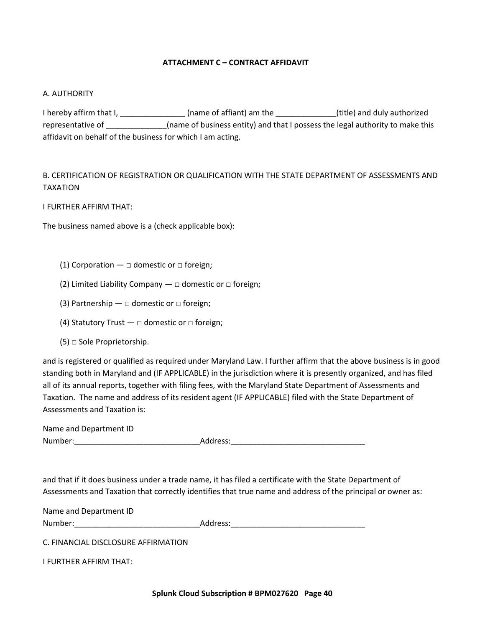#### **ATTACHMENT C – CONTRACT AFFIDAVIT**

#### <span id="page-39-0"></span>A. AUTHORITY

I hereby affirm that I, \_\_\_\_\_\_\_\_\_\_\_\_\_\_\_\_\_\_(name of affiant) am the \_\_\_\_\_\_\_\_\_\_\_\_\_\_\_(title) and duly authorized representative of \_\_\_\_\_\_\_\_\_\_\_\_\_(name of business entity) and that I possess the legal authority to make this affidavit on behalf of the business for which I am acting.

B. CERTIFICATION OF REGISTRATION OR QUALIFICATION WITH THE STATE DEPARTMENT OF ASSESSMENTS AND TAXATION

I FURTHER AFFIRM THAT:

The business named above is a (check applicable box):

- (1) Corporation  $\Box$  domestic or  $\Box$  foreign;
- (2) Limited Liability Company  $-\Box$  domestic or  $\Box$  foreign;
- (3) Partnership  $\Box$  domestic or  $\Box$  foreign;
- (4) Statutory Trust  $\Box$  domestic or  $\Box$  foreign;
- (5) □ Sole Proprietorship.

and is registered or qualified as required under Maryland Law. I further affirm that the above business is in good standing both in Maryland and (IF APPLICABLE) in the jurisdiction where it is presently organized, and has filed all of its annual reports, together with filing fees, with the Maryland State Department of Assessments and Taxation. The name and address of its resident agent (IF APPLICABLE) filed with the State Department of Assessments and Taxation is:

| Name and Department ID |          |
|------------------------|----------|
| Number:                | Address: |

and that if it does business under a trade name, it has filed a certificate with the State Department of Assessments and Taxation that correctly identifies that true name and address of the principal or owner as:

| Name and Department ID |          |
|------------------------|----------|
| Number:                | Address: |
|                        |          |

C. FINANCIAL DISCLOSURE AFFIRMATION

I FURTHER AFFIRM THAT: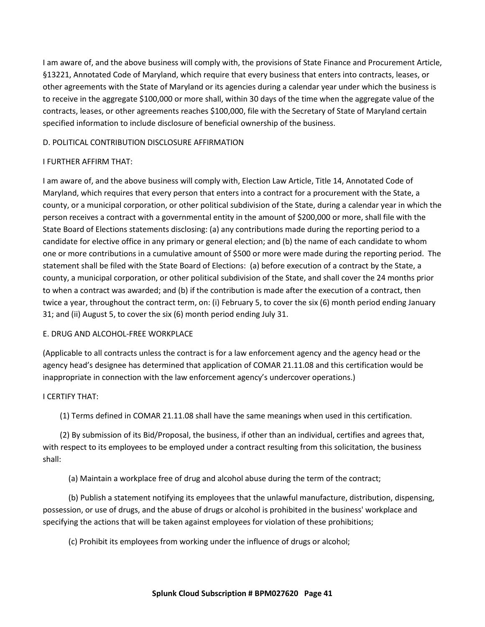I am aware of, and the above business will comply with, the provisions of State Finance and Procurement Article, §13221, Annotated Code of Maryland, which require that every business that enters into contracts, leases, or other agreements with the State of Maryland or its agencies during a calendar year under which the business is to receive in the aggregate \$100,000 or more shall, within 30 days of the time when the aggregate value of the contracts, leases, or other agreements reaches \$100,000, file with the Secretary of State of Maryland certain specified information to include disclosure of beneficial ownership of the business.

## D. POLITICAL CONTRIBUTION DISCLOSURE AFFIRMATION

#### I FURTHER AFFIRM THAT:

I am aware of, and the above business will comply with, Election Law Article, Title 14, Annotated Code of Maryland, which requires that every person that enters into a contract for a procurement with the State, a county, or a municipal corporation, or other political subdivision of the State, during a calendar year in which the person receives a contract with a governmental entity in the amount of \$200,000 or more, shall file with the State Board of Elections statements disclosing: (a) any contributions made during the reporting period to a candidate for elective office in any primary or general election; and (b) the name of each candidate to whom one or more contributions in a cumulative amount of \$500 or more were made during the reporting period. The statement shall be filed with the State Board of Elections: (a) before execution of a contract by the State, a county, a municipal corporation, or other political subdivision of the State, and shall cover the 24 months prior to when a contract was awarded; and (b) if the contribution is made after the execution of a contract, then twice a year, throughout the contract term, on: (i) February 5, to cover the six (6) month period ending January 31; and (ii) August 5, to cover the six (6) month period ending July 31.

#### E. DRUG AND ALCOHOL-FREE WORKPLACE

(Applicable to all contracts unless the contract is for a law enforcement agency and the agency head or the agency head's designee has determined that application of COMAR 21.11.08 and this certification would be inappropriate in connection with the law enforcement agency's undercover operations.)

#### I CERTIFY THAT:

(1) Terms defined in COMAR 21.11.08 shall have the same meanings when used in this certification.

(2) By submission of its Bid/Proposal, the business, if other than an individual, certifies and agrees that, with respect to its employees to be employed under a contract resulting from this solicitation, the business shall:

(a) Maintain a workplace free of drug and alcohol abuse during the term of the contract;

(b) Publish a statement notifying its employees that the unlawful manufacture, distribution, dispensing, possession, or use of drugs, and the abuse of drugs or alcohol is prohibited in the business' workplace and specifying the actions that will be taken against employees for violation of these prohibitions;

(c) Prohibit its employees from working under the influence of drugs or alcohol;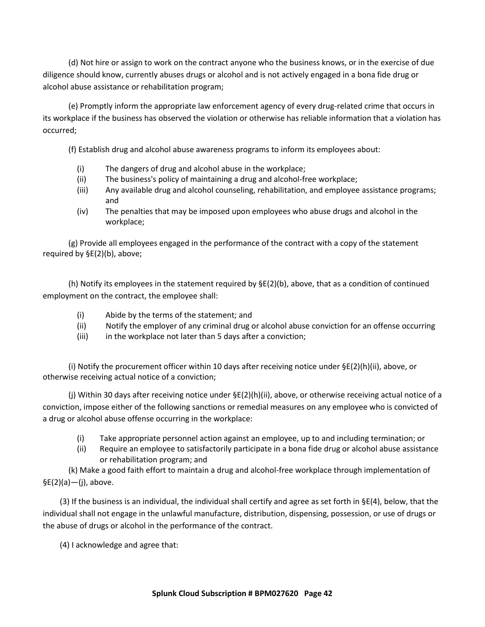(d) Not hire or assign to work on the contract anyone who the business knows, or in the exercise of due diligence should know, currently abuses drugs or alcohol and is not actively engaged in a bona fide drug or alcohol abuse assistance or rehabilitation program;

(e) Promptly inform the appropriate law enforcement agency of every drug-related crime that occurs in its workplace if the business has observed the violation or otherwise has reliable information that a violation has occurred;

(f) Establish drug and alcohol abuse awareness programs to inform its employees about:

- (i) The dangers of drug and alcohol abuse in the workplace;
- (ii) The business's policy of maintaining a drug and alcohol-free workplace;
- (iii) Any available drug and alcohol counseling, rehabilitation, and employee assistance programs; and
- (iv) The penalties that may be imposed upon employees who abuse drugs and alcohol in the workplace;

(g) Provide all employees engaged in the performance of the contract with a copy of the statement required by §E(2)(b), above;

(h) Notify its employees in the statement required by  $\S E(2)$ (b), above, that as a condition of continued employment on the contract, the employee shall:

- (i) Abide by the terms of the statement; and
- (ii) Notify the employer of any criminal drug or alcohol abuse conviction for an offense occurring
- (iii) in the workplace not later than 5 days after a conviction;

(i) Notify the procurement officer within 10 days after receiving notice under §E(2)(h)(ii), above, or otherwise receiving actual notice of a conviction;

(j) Within 30 days after receiving notice under §E(2)(h)(ii), above, or otherwise receiving actual notice of a conviction, impose either of the following sanctions or remedial measures on any employee who is convicted of a drug or alcohol abuse offense occurring in the workplace:

- (i) Take appropriate personnel action against an employee, up to and including termination; or
- (ii) Require an employee to satisfactorily participate in a bona fide drug or alcohol abuse assistance or rehabilitation program; and

(k) Make a good faith effort to maintain a drug and alcohol-free workplace through implementation of  $$E(2)(a)$ -(j), above.

(3) If the business is an individual, the individual shall certify and agree as set forth in §E(4), below, that the individual shall not engage in the unlawful manufacture, distribution, dispensing, possession, or use of drugs or the abuse of drugs or alcohol in the performance of the contract.

(4) I acknowledge and agree that: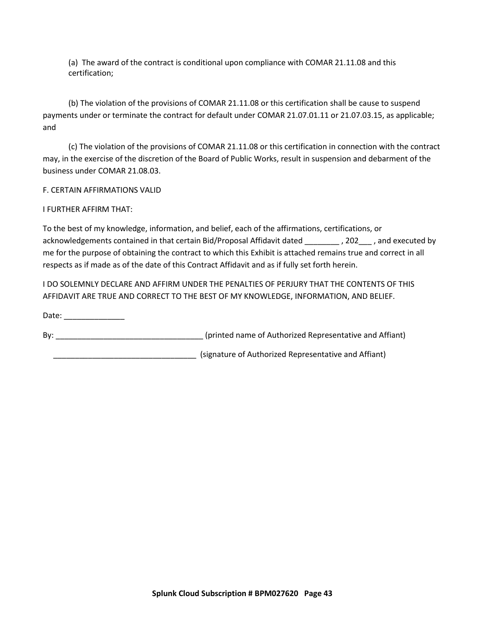(a) The award of the contract is conditional upon compliance with COMAR 21.11.08 and this certification;

(b) The violation of the provisions of COMAR 21.11.08 or this certification shall be cause to suspend payments under or terminate the contract for default under COMAR 21.07.01.11 or 21.07.03.15, as applicable; and

(c) The violation of the provisions of COMAR 21.11.08 or this certification in connection with the contract may, in the exercise of the discretion of the Board of Public Works, result in suspension and debarment of the business under COMAR 21.08.03.

F. CERTAIN AFFIRMATIONS VALID

I FURTHER AFFIRM THAT:

To the best of my knowledge, information, and belief, each of the affirmations, certifications, or acknowledgements contained in that certain Bid/Proposal Affidavit dated \_\_\_\_\_\_\_\_\_ , 202\_\_\_\_ , and executed by me for the purpose of obtaining the contract to which this Exhibit is attached remains true and correct in all respects as if made as of the date of this Contract Affidavit and as if fully set forth herein.

I DO SOLEMNLY DECLARE AND AFFIRM UNDER THE PENALTIES OF PERJURY THAT THE CONTENTS OF THIS AFFIDAVIT ARE TRUE AND CORRECT TO THE BEST OF MY KNOWLEDGE, INFORMATION, AND BELIEF.

Date: \_\_\_\_\_\_\_\_\_\_\_\_\_\_ By: \_\_\_\_\_\_\_\_\_\_\_\_\_\_\_\_\_\_\_\_\_\_\_\_\_\_\_\_\_\_\_\_\_\_ (printed name of Authorized Representative and Affiant) \_\_\_\_\_\_\_\_\_\_\_\_\_\_\_\_\_\_\_\_\_\_\_\_\_\_\_\_\_\_\_\_\_ (signature of Authorized Representative and Affiant)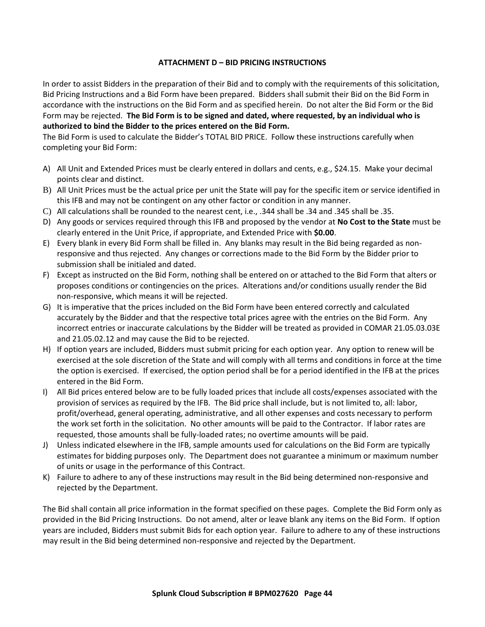## **ATTACHMENT D – BID PRICING INSTRUCTIONS**

In order to assist Bidders in the preparation of their Bid and to comply with the requirements of this solicitation, Bid Pricing Instructions and a Bid Form have been prepared. Bidders shall submit their Bid on the Bid Form in accordance with the instructions on the Bid Form and as specified herein. Do not alter the Bid Form or the Bid Form may be rejected. **The Bid Form is to be signed and dated, where requested, by an individual who is authorized to bind the Bidder to the prices entered on the Bid Form.** 

The Bid Form is used to calculate the Bidder's TOTAL BID PRICE. Follow these instructions carefully when completing your Bid Form:

- A) All Unit and Extended Prices must be clearly entered in dollars and cents, e.g., \$24.15. Make your decimal points clear and distinct.
- B) All Unit Prices must be the actual price per unit the State will pay for the specific item or service identified in this IFB and may not be contingent on any other factor or condition in any manner.
- C) All calculations shall be rounded to the nearest cent, i.e., .344 shall be .34 and .345 shall be .35.
- D) Any goods or services required through this IFB and proposed by the vendor at **No Cost to the State** must be clearly entered in the Unit Price, if appropriate, and Extended Price with **\$0.00**.
- E) Every blank in every Bid Form shall be filled in. Any blanks may result in the Bid being regarded as nonresponsive and thus rejected. Any changes or corrections made to the Bid Form by the Bidder prior to submission shall be initialed and dated.
- F) Except as instructed on the Bid Form, nothing shall be entered on or attached to the Bid Form that alters or proposes conditions or contingencies on the prices. Alterations and/or conditions usually render the Bid non-responsive, which means it will be rejected.
- G) It is imperative that the prices included on the Bid Form have been entered correctly and calculated accurately by the Bidder and that the respective total prices agree with the entries on the Bid Form. Any incorrect entries or inaccurate calculations by the Bidder will be treated as provided in COMAR 21.05.03.03E and 21.05.02.12 and may cause the Bid to be rejected.
- H) If option years are included, Bidders must submit pricing for each option year. Any option to renew will be exercised at the sole discretion of the State and will comply with all terms and conditions in force at the time the option is exercised. If exercised, the option period shall be for a period identified in the IFB at the prices entered in the Bid Form.
- I) All Bid prices entered below are to be fully loaded prices that include all costs/expenses associated with the provision of services as required by the IFB. The Bid price shall include, but is not limited to, all: labor, profit/overhead, general operating, administrative, and all other expenses and costs necessary to perform the work set forth in the solicitation. No other amounts will be paid to the Contractor. If labor rates are requested, those amounts shall be fully-loaded rates; no overtime amounts will be paid.
- J) Unless indicated elsewhere in the IFB, sample amounts used for calculations on the Bid Form are typically estimates for bidding purposes only. The Department does not guarantee a minimum or maximum number of units or usage in the performance of this Contract.
- K) Failure to adhere to any of these instructions may result in the Bid being determined non-responsive and rejected by the Department.

The Bid shall contain all price information in the format specified on these pages. Complete the Bid Form only as provided in the Bid Pricing Instructions. Do not amend, alter or leave blank any items on the Bid Form. If option years are included, Bidders must submit Bids for each option year. Failure to adhere to any of these instructions may result in the Bid being determined non-responsive and rejected by the Department.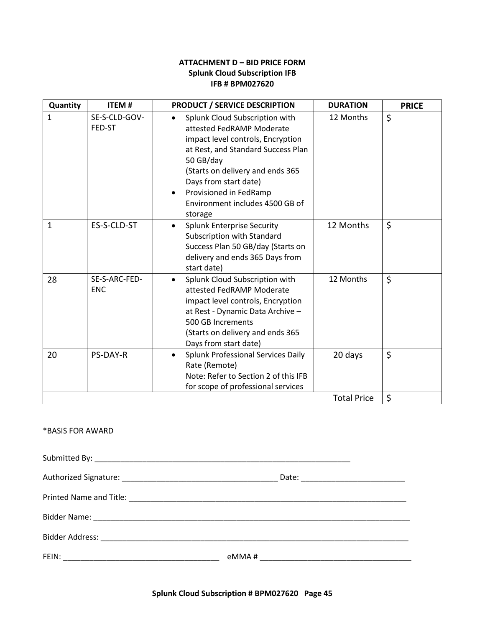#### **ATTACHMENT D – BID PRICE FORM Splunk Cloud Subscription IFB IFB # BPM027620**

<span id="page-44-0"></span>

| Quantity     | <b>ITEM#</b>                | <b>PRODUCT / SERVICE DESCRIPTION</b>                                                                                                                                                                                                                                                                               | <b>DURATION</b>    | <b>PRICE</b> |
|--------------|-----------------------------|--------------------------------------------------------------------------------------------------------------------------------------------------------------------------------------------------------------------------------------------------------------------------------------------------------------------|--------------------|--------------|
| $\mathbf{1}$ | SE-S-CLD-GOV-<br>FED-ST     | Splunk Cloud Subscription with<br>$\bullet$<br>attested FedRAMP Moderate<br>impact level controls, Encryption<br>at Rest, and Standard Success Plan<br>50 GB/day<br>(Starts on delivery and ends 365<br>Days from start date)<br>Provisioned in FedRamp<br>$\bullet$<br>Environment includes 4500 GB of<br>storage | 12 Months          | \$           |
| $\mathbf{1}$ | ES-S-CLD-ST                 | <b>Splunk Enterprise Security</b><br>$\bullet$<br>Subscription with Standard<br>Success Plan 50 GB/day (Starts on<br>delivery and ends 365 Days from<br>start date)                                                                                                                                                | 12 Months          | \$           |
| 28           | SE-S-ARC-FED-<br><b>ENC</b> | Splunk Cloud Subscription with<br>$\bullet$<br>attested FedRAMP Moderate<br>impact level controls, Encryption<br>at Rest - Dynamic Data Archive -<br>500 GB Increments<br>(Starts on delivery and ends 365<br>Days from start date)                                                                                | 12 Months          | \$           |
| 20           | <b>PS-DAY-R</b>             | Splunk Professional Services Daily<br>$\bullet$<br>Rate (Remote)<br>Note: Refer to Section 2 of this IFB<br>for scope of professional services                                                                                                                                                                     | 20 days            | \$           |
|              |                             |                                                                                                                                                                                                                                                                                                                    | <b>Total Price</b> | \$           |

#### \*BASIS FOR AWARD

Submitted By: \_\_\_\_\_\_\_\_\_\_\_\_\_\_\_\_\_\_\_\_\_\_\_\_\_\_\_\_\_\_\_\_\_\_\_\_\_\_\_\_\_\_\_\_\_\_\_\_\_\_\_\_\_\_\_\_\_\_\_ Authorized Signature: \_\_\_\_\_\_\_\_\_\_\_\_\_\_\_\_\_\_\_\_\_\_\_\_\_\_\_\_\_\_\_\_\_\_\_\_ Date: \_\_\_\_\_\_\_\_\_\_\_\_\_\_\_\_\_\_\_\_\_\_\_\_ Printed Name and Title: **We are all that the set of the set of the set of the set of the set of the set of the set of the set of the set of the set of the set of the set of the set of the set of the set of the set of the s** Bidder Name: \_\_\_\_\_\_\_\_\_\_\_\_\_\_\_\_\_\_\_\_\_\_\_\_\_\_\_\_\_\_\_\_\_\_\_\_\_\_\_\_\_\_\_\_\_\_\_\_\_\_\_\_\_\_\_\_\_\_\_\_\_\_\_\_\_\_\_\_\_\_\_\_\_ Bidder Address: \_\_\_\_\_\_\_\_\_\_\_\_\_\_\_\_\_\_\_\_\_\_\_\_\_\_\_\_\_\_\_\_\_\_\_\_\_\_\_\_\_\_\_\_\_\_\_\_\_\_\_\_\_\_\_\_\_\_\_\_\_\_\_\_\_\_\_\_\_\_\_ FEIN: \_\_\_\_\_\_\_\_\_\_\_\_\_\_\_\_\_\_\_\_\_\_\_\_\_\_\_\_\_\_\_\_\_\_\_\_ eMMA # \_\_\_\_\_\_\_\_\_\_\_\_\_\_\_\_\_\_\_\_\_\_\_\_\_\_\_\_\_\_\_\_\_\_\_

**Splunk Cloud Subscription # BPM027620 Page 45**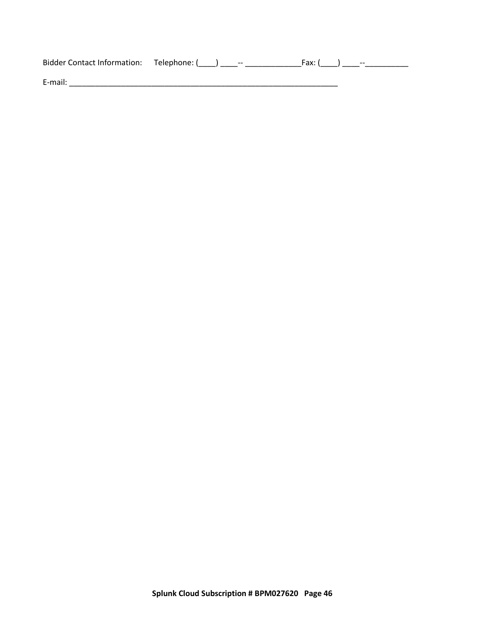| Bidder Contact Information: Telephone: () -- |  | Fax: (          ) |  |
|----------------------------------------------|--|-------------------|--|
| E-mail:                                      |  |                   |  |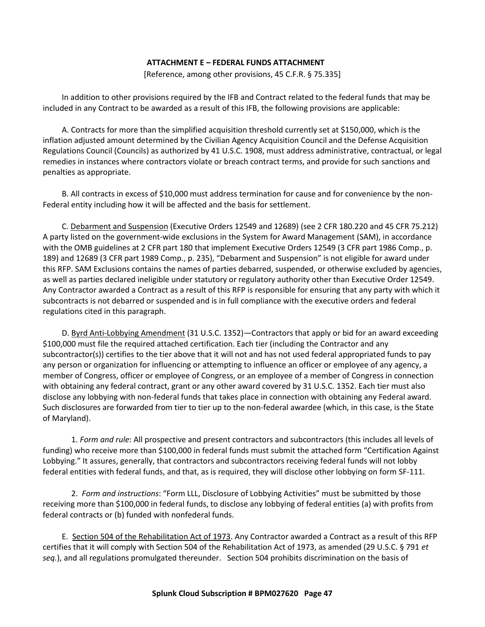#### **ATTACHMENT E – FEDERAL FUNDS ATTACHMENT**

[Reference, among other provisions, 45 C.F.R. § 75.335]

<span id="page-46-0"></span>In addition to other provisions required by the IFB and Contract related to the federal funds that may be included in any Contract to be awarded as a result of this IFB, the following provisions are applicable:

A. Contracts for more than the simplified acquisition threshold currently set at \$150,000, which is the inflation adjusted amount determined by the Civilian Agency Acquisition Council and the Defense Acquisition Regulations Council (Councils) as authorized by 41 U.S.C. 1908, must address administrative, contractual, or legal remedies in instances where contractors violate or breach contract terms, and provide for such sanctions and penalties as appropriate.

B. All contracts in excess of \$10,000 must address termination for cause and for convenience by the non-Federal entity including how it will be affected and the basis for settlement.

C. Debarment and Suspension (Executive Orders 12549 and 12689) (see 2 CFR 180.220 and 45 CFR 75.212) A party listed on the government-wide exclusions in the System for Award Management (SAM), in accordance with the OMB guidelines at 2 CFR part 180 that implement Executive Orders 12549 (3 CFR part 1986 Comp., p. 189) and 12689 (3 CFR part 1989 Comp., p. 235), "Debarment and Suspension" is not eligible for award under this RFP. SAM Exclusions contains the names of parties debarred, suspended, or otherwise excluded by agencies, as well as parties declared ineligible under statutory or regulatory authority other than Executive Order 12549. Any Contractor awarded a Contract as a result of this RFP is responsible for ensuring that any party with which it subcontracts is not debarred or suspended and is in full compliance with the executive orders and federal regulations cited in this paragraph.

D. Byrd Anti-Lobbying Amendment (31 U.S.C. 1352)—Contractors that apply or bid for an award exceeding \$100,000 must file the required attached certification. Each tier (including the Contractor and any subcontractor(s)) certifies to the tier above that it will not and has not used federal appropriated funds to pay any person or organization for influencing or attempting to influence an officer or employee of any agency, a member of Congress, officer or employee of Congress, or an employee of a member of Congress in connection with obtaining any federal contract, grant or any other award covered by 31 U.S.C. 1352. Each tier must also disclose any lobbying with non-federal funds that takes place in connection with obtaining any Federal award. Such disclosures are forwarded from tier to tier up to the non-federal awardee (which, in this case, is the State of Maryland).

1. *Form and rule*: All prospective and present contractors and subcontractors (this includes all levels of funding) who receive more than \$100,000 in federal funds must submit the attached form "Certification Against Lobbying." It assures, generally, that contractors and subcontractors receiving federal funds will not lobby federal entities with federal funds, and that, as is required, they will disclose other lobbying on form SF-111.

2. *Form and instructions*: "Form LLL, Disclosure of Lobbying Activities" must be submitted by those receiving more than \$100,000 in federal funds, to disclose any lobbying of federal entities (a) with profits from federal contracts or (b) funded with nonfederal funds.

E. Section 504 of the Rehabilitation Act of 1973. Any Contractor awarded a Contract as a result of this RFP certifies that it will comply with Section 504 of the Rehabilitation Act of 1973, as amended (29 U.S.C. § 791 *et seq.*), and all regulations promulgated thereunder. Section 504 prohibits discrimination on the basis of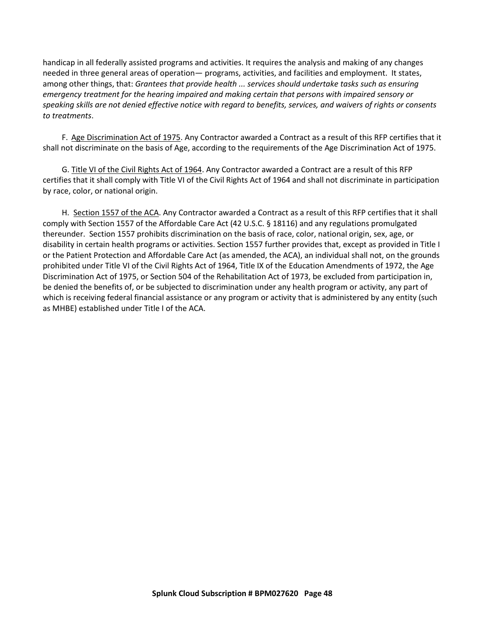handicap in all federally assisted programs and activities. It requires the analysis and making of any changes needed in three general areas of operation— programs, activities, and facilities and employment. It states, among other things, that: *Grantees that provide health ... services should undertake tasks such as ensuring emergency treatment for the hearing impaired and making certain that persons with impaired sensory or speaking skills are not denied effective notice with regard to benefits, services, and waivers of rights or consents to treatments*.

F. Age Discrimination Act of 1975. Any Contractor awarded a Contract as a result of this RFP certifies that it shall not discriminate on the basis of Age, according to the requirements of the Age Discrimination Act of 1975.

G. Title VI of the Civil Rights Act of 1964. Any Contractor awarded a Contract are a result of this RFP certifies that it shall comply with Title VI of the Civil Rights Act of 1964 and shall not discriminate in participation by race, color, or national origin.

H. Section 1557 of the ACA. Any Contractor awarded a Contract as a result of this RFP certifies that it shall comply with Section 1557 of the Affordable Care Act (42 U.S.C. § 18116) and any regulations promulgated thereunder. Section 1557 prohibits discrimination on the basis of race, color, national origin, sex, age, or disability in certain health programs or activities. Section 1557 further provides that, except as provided in Title I or the Patient Protection and Affordable Care Act (as amended, the ACA), an individual shall not, on the grounds prohibited under Title VI of the Civil Rights Act of 1964, Title IX of the Education Amendments of 1972, the Age Discrimination Act of 1975, or Section 504 of the Rehabilitation Act of 1973, be excluded from participation in, be denied the benefits of, or be subjected to discrimination under any health program or activity, any part of which is receiving federal financial assistance or any program or activity that is administered by any entity (such as MHBE) established under Title I of the ACA.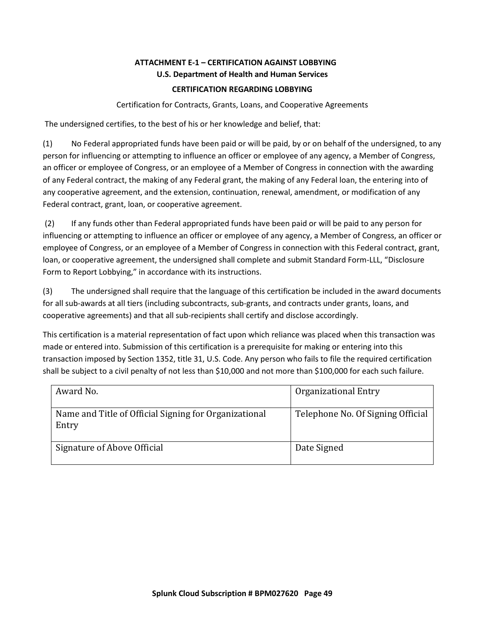# **ATTACHMENT E-1 – CERTIFICATION AGAINST LOBBYING U.S. Department of Health and Human Services**

## **CERTIFICATION REGARDING LOBBYING**

#### Certification for Contracts, Grants, Loans, and Cooperative Agreements

<span id="page-48-0"></span>The undersigned certifies, to the best of his or her knowledge and belief, that:

(1) No Federal appropriated funds have been paid or will be paid, by or on behalf of the undersigned, to any person for influencing or attempting to influence an officer or employee of any agency, a Member of Congress, an officer or employee of Congress, or an employee of a Member of Congress in connection with the awarding of any Federal contract, the making of any Federal grant, the making of any Federal loan, the entering into of any cooperative agreement, and the extension, continuation, renewal, amendment, or modification of any Federal contract, grant, loan, or cooperative agreement.

(2) If any funds other than Federal appropriated funds have been paid or will be paid to any person for influencing or attempting to influence an officer or employee of any agency, a Member of Congress, an officer or employee of Congress, or an employee of a Member of Congress in connection with this Federal contract, grant, loan, or cooperative agreement, the undersigned shall complete and submit Standard Form-LLL, "Disclosure Form to Report Lobbying," in accordance with its instructions.

(3) The undersigned shall require that the language of this certification be included in the award documents for all sub-awards at all tiers (including subcontracts, sub-grants, and contracts under grants, loans, and cooperative agreements) and that all sub-recipients shall certify and disclose accordingly.

This certification is a material representation of fact upon which reliance was placed when this transaction was made or entered into. Submission of this certification is a prerequisite for making or entering into this transaction imposed by Section 1352, title 31, U.S. Code. Any person who fails to file the required certification shall be subject to a civil penalty of not less than \$10,000 and not more than \$100,000 for each such failure.

| Award No.                                                      | Organizational Entry              |
|----------------------------------------------------------------|-----------------------------------|
| Name and Title of Official Signing for Organizational<br>Entry | Telephone No. Of Signing Official |
| Signature of Above Official                                    | Date Signed                       |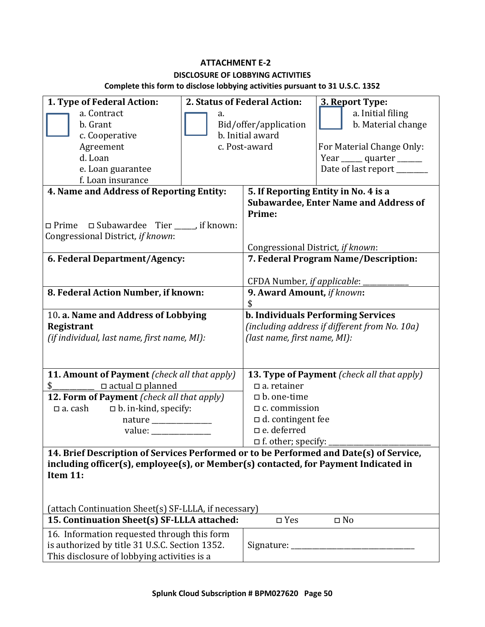# **ATTACHMENT E-2**

#### **DISCLOSURE OF LOBBYING ACTIVITIES**

**Complete this form to disclose lobbying activities pursuant to 31 U.S.C. 1352**

<span id="page-49-0"></span>

| 1. Type of Federal Action:                                                                                                                                                                |                       | 2. Status of Federal Action:                  | 3. Report Type:                              |  |
|-------------------------------------------------------------------------------------------------------------------------------------------------------------------------------------------|-----------------------|-----------------------------------------------|----------------------------------------------|--|
| a. Contract                                                                                                                                                                               | a.                    |                                               | a. Initial filing                            |  |
| b. Grant                                                                                                                                                                                  | Bid/offer/application |                                               | b. Material change                           |  |
| c. Cooperative                                                                                                                                                                            | b. Initial award      |                                               |                                              |  |
| Agreement                                                                                                                                                                                 | c. Post-award         |                                               | For Material Change Only:                    |  |
| d. Loan                                                                                                                                                                                   |                       |                                               | Year _______ quarter _______                 |  |
| e. Loan guarantee                                                                                                                                                                         |                       |                                               | Date of last report ________                 |  |
| f. Loan insurance                                                                                                                                                                         |                       |                                               |                                              |  |
| 4. Name and Address of Reporting Entity:                                                                                                                                                  |                       | 5. If Reporting Entity in No. 4 is a          |                                              |  |
|                                                                                                                                                                                           |                       | Prime:                                        | <b>Subawardee, Enter Name and Address of</b> |  |
| $\Box$ Prime $\Box$ Subawardee Tier _____, if known:                                                                                                                                      |                       |                                               |                                              |  |
| Congressional District, if known:                                                                                                                                                         |                       |                                               |                                              |  |
|                                                                                                                                                                                           |                       | Congressional District, if known:             |                                              |  |
| 6. Federal Department/Agency:                                                                                                                                                             |                       | 7. Federal Program Name/Description:          |                                              |  |
|                                                                                                                                                                                           |                       | CFDA Number, if applicable:                   |                                              |  |
| 8. Federal Action Number, if known:                                                                                                                                                       |                       | 9. Award Amount, if known:                    |                                              |  |
|                                                                                                                                                                                           |                       | S                                             |                                              |  |
| 10. a. Name and Address of Lobbying                                                                                                                                                       |                       | <b>b. Individuals Performing Services</b>     |                                              |  |
| Registrant                                                                                                                                                                                |                       | (including address if different from No. 10a) |                                              |  |
| (if individual, last name, first name, MI):                                                                                                                                               |                       | (last name, first name, MI):                  |                                              |  |
|                                                                                                                                                                                           |                       |                                               |                                              |  |
| 11. Amount of Payment (check all that apply)                                                                                                                                              |                       | 13. Type of Payment (check all that apply)    |                                              |  |
| $\Box$ actual $\Box$ planned<br>\$                                                                                                                                                        |                       | $\Box$ a. retainer                            |                                              |  |
| 12. Form of Payment (check all that apply)                                                                                                                                                |                       | $\Box$ b. one-time                            |                                              |  |
| $\Box$ b. in-kind, specify:<br>$\Box$ a. cash                                                                                                                                             |                       | $\Box$ c. commission                          |                                              |  |
|                                                                                                                                                                                           |                       | $\Box$ d. contingent fee                      |                                              |  |
|                                                                                                                                                                                           |                       | □ e. deferred                                 |                                              |  |
|                                                                                                                                                                                           |                       | $\Box$ f. other; specify:                     |                                              |  |
| 14. Brief Description of Services Performed or to be Performed and Date(s) of Service,<br>including officer(s), employee(s), or Member(s) contacted, for Payment Indicated in<br>Item 11: |                       |                                               |                                              |  |
|                                                                                                                                                                                           |                       |                                               |                                              |  |
|                                                                                                                                                                                           |                       |                                               |                                              |  |
| (attach Continuation Sheet(s) SF-LLLA, if necessary)                                                                                                                                      |                       |                                               |                                              |  |
| 15. Continuation Sheet(s) SF-LLLA attached:                                                                                                                                               |                       | $\square$ Yes                                 | $\square$ No                                 |  |
| 16. Information requested through this form                                                                                                                                               |                       |                                               |                                              |  |
| is authorized by title 31 U.S.C. Section 1352.                                                                                                                                            |                       | Signature: $\frac{1}{1}$                      |                                              |  |
| This disclosure of lobbying activities is a                                                                                                                                               |                       |                                               |                                              |  |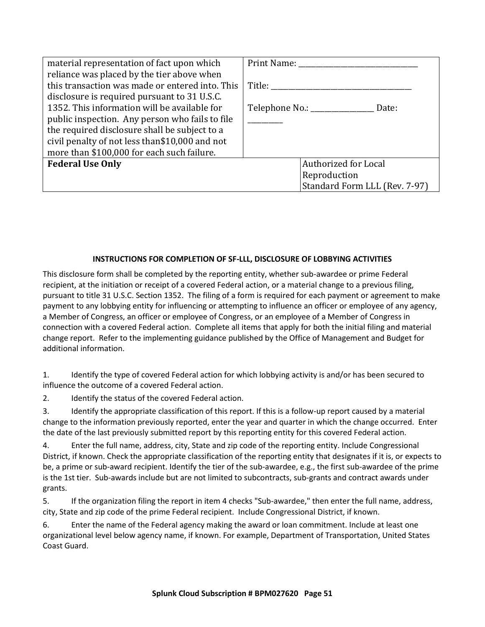| material representation of fact upon which      | Print Name: |                                     |  |
|-------------------------------------------------|-------------|-------------------------------------|--|
| reliance was placed by the tier above when      |             |                                     |  |
| this transaction was made or entered into. This | Title:      |                                     |  |
| disclosure is required pursuant to 31 U.S.C.    |             |                                     |  |
| 1352. This information will be available for    |             | Telephone No.: ___________<br>Date: |  |
| public inspection. Any person who fails to file |             |                                     |  |
| the required disclosure shall be subject to a   |             |                                     |  |
| civil penalty of not less than\$10,000 and not  |             |                                     |  |
| more than \$100,000 for each such failure.      |             |                                     |  |
| <b>Federal Use Only</b>                         |             | Authorized for Local                |  |
|                                                 |             | Reproduction                        |  |
|                                                 |             | Standard Form LLL (Rev. 7-97)       |  |

## **INSTRUCTIONS FOR COMPLETION OF SF-LLL, DISCLOSURE OF LOBBYING ACTIVITIES**

This disclosure form shall be completed by the reporting entity, whether sub-awardee or prime Federal recipient, at the initiation or receipt of a covered Federal action, or a material change to a previous filing, pursuant to title 31 U.S.C. Section 1352. The filing of a form is required for each payment or agreement to make payment to any lobbying entity for influencing or attempting to influence an officer or employee of any agency, a Member of Congress, an officer or employee of Congress, or an employee of a Member of Congress in connection with a covered Federal action. Complete all items that apply for both the initial filing and material change report. Refer to the implementing guidance published by the Office of Management and Budget for additional information.

1. Identify the type of covered Federal action for which lobbying activity is and/or has been secured to influence the outcome of a covered Federal action.

2. Identify the status of the covered Federal action.

3. Identify the appropriate classification of this report. If this is a follow-up report caused by a material change to the information previously reported, enter the year and quarter in which the change occurred. Enter the date of the last previously submitted report by this reporting entity for this covered Federal action.

4. Enter the full name, address, city, State and zip code of the reporting entity. Include Congressional District, if known. Check the appropriate classification of the reporting entity that designates if it is, or expects to be, a prime or sub-award recipient. Identify the tier of the sub-awardee, e.g., the first sub-awardee of the prime is the 1st tier. Sub-awards include but are not limited to subcontracts, sub-grants and contract awards under grants.

5. If the organization filing the report in item 4 checks "Sub-awardee," then enter the full name, address, city, State and zip code of the prime Federal recipient. Include Congressional District, if known.

6. Enter the name of the Federal agency making the award or loan commitment. Include at least one organizational level below agency name, if known. For example, Department of Transportation, United States Coast Guard.